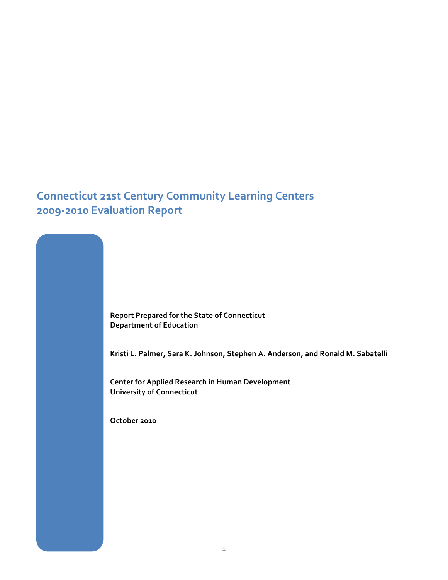## **Connecticut 21st Century Community Learning Centers 2009-2010 Evaluation Report**



Kristi L. Palmer, Sara K. Johnson, Stephen A. Anderson, and Ronald M. Sabatelli

**Center for Applied Research in Human Development University of Connecticut** 

**October!2010**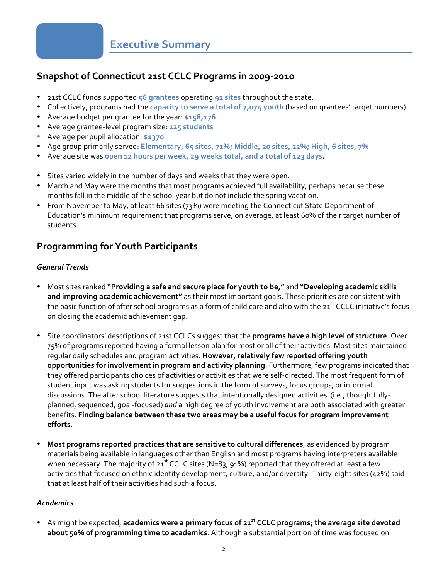### <span id="page-1-0"></span>**Snapshot of Connecticut 21st CCLC Programs in 2009-2010**

- 21st CCLC funds supported 56 grantees operating 92 sites throughout the state.
- Collectively, programs had the *capacity to serve a total of 7,074 youth* (based on grantees' target numbers).
- **•** Average budget per grantee for the year: \$158,176
- Average grantee-level program size: 125 students
- Average!per!pupil!allocation:!**\$1370**
- <sup>•</sup> Age group primarily served: Elementary, 65 sites, 71%; Middle, 20 sites, 22%; High, 6 sites, 7%
- Average site was open 12 hours per week, 29 weeks total, and a total of 123 days.
- Sites varied widely in the number of days and weeks that they were open.
- March and May were the months that most programs achieved full availability, perhaps because these months fall in the middle of the school year but do not include the spring vacation.
- From November to May, at least 66 sites (73%) were meeting the Connecticut State Department of Education's minimum requirement that programs serve, on average, at least 60% of their target number of students.

### **Programming for Youth Participants**

#### *General'Trends*

- Most sites ranked "Providing a safe and secure place for youth to be," and "Developing academic skills and improving academic achievement" as their most important goals. These priorities are consistent with the basic function of after school programs as a form of child care and also with the 21st CCLC initiative's focus on closing the academic achievement gap.
- Site coordinators' descriptions of 21st CCLCs suggest that the **programs have a high level of structure**. Over 75% of programs reported having a formal lesson plan for most or all of their activities. Most sites maintained regular daily schedules and program activities. However, relatively few reported offering youth opportunities for involvement in program and activity planning. Furthermore, few programs indicated that they offered participants choices of activities or activities that were self-directed. The most frequent form of student input was asking students for suggestions in the form of surveys, focus groups, or informal discussions. The after school literature suggests that intentionally designed activities (i.e., thoughtfullyplanned, sequenced, goal-focused) *and* a high degree of youth involvement are both associated with greater benefits. Finding balance between these two areas may be a useful focus for program improvement **efforts**.
- **Most programs reported practices that are sensitive to cultural differences, as evidenced by program** materials being available in languages other than English and most programs having interpreters available when necessary. The majority of 21st CCLC sites (N=83, 91%) reported that they offered at least a few activities that focused on ethnic identity development, culture, and/or diversity. Thirty-eight sites (42%) said that at least half of their activities had such a focus.

#### *Academics*

• As might be expected, academics were a primary focus of 21<sup>st</sup> CCLC programs; the average site devoted about 50% of programming time to academics. Although a substantial portion of time was focused on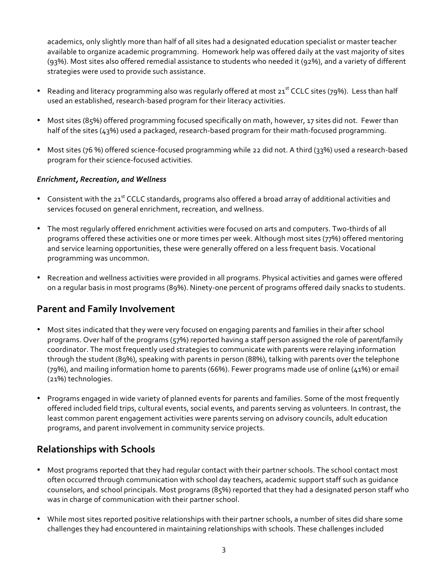academics, only slightly more than half of all sites had a designated education specialist or master teacher available to organize academic programming. Homework help was offered daily at the vast majority of sites (93%). Most sites also offered remedial assistance to students who needed it (92%), and a variety of different strategies were used to provide such assistance.

- Reading and literacy programming also was regularly offered at most 21<sup>st</sup> CCLC sites (79%). Less than half used an established, research-based program for their literacy activities.
- Most sites (85%) offered programming focused specifically on math, however, 17 sites did not. Fewer than half of the sites (43%) used a packaged, research-based program for their math-focused programming.
- Most sites (76 %) offered science-focused programming while 22 did not. A third (33%) used a research-based program for their science-focused activities.

#### *Enrichment,'Recreation,'and'Wellness*

- Consistent with the 21<sup>st</sup> CCLC standards, programs also offered a broad array of additional activities and services focused on general enrichment, recreation, and wellness.
- The most regularly offered enrichment activities were focused on arts and computers. Two-thirds of all programs offered these activities one or more times per week. Although most sites (77%) offered mentoring and service learning opportunities, these were generally offered on a less frequent basis. Vocational programming was uncommon.
- Recreation and wellness activities were provided in all programs. Physical activities and games were offered on a regular basis in most programs (89%). Ninety-one percent of programs offered daily snacks to students.

### **Parent and Family Involvement**

- Most sites indicated that they were very focused on engaging parents and families in their after school programs. Over half of the programs (57%) reported having a staff person assigned the role of parent/family coordinator. The most frequently used strategies to communicate with parents were relaying information through the student (89%), speaking with parents in person (88%), talking with parents over the telephone (79%), and mailing information home to parents (66%). Fewer programs made use of online (41%) or email (21%) technologies.
- Programs engaged in wide variety of planned events for parents and families. Some of the most frequently offered included field trips, cultural events, social events, and parents serving as volunteers. In contrast, the least common parent engagement activities were parents serving on advisory councils, adult education programs, and parent involvement in community service projects.

### **Relationships!with!Schools**

- Most programs reported that they had regular contact with their partner schools. The school contact most often occurred through communication with school day teachers, academic support staff such as quidance counselors, and school principals. Most programs (85%) reported that they had a designated person staff who was in charge of communication with their partner school.
- While most sites reported positive relationships with their partner schools, a number of sites did share some challenges they had encountered in maintaining relationships with schools. These challenges included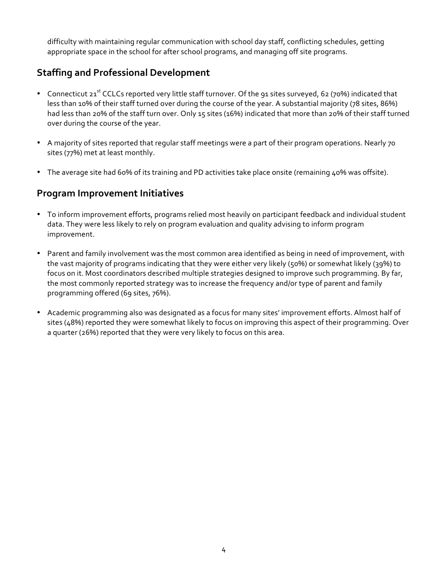difficulty with maintaining regular communication with school day staff, conflicting schedules, getting appropriate space in the school for after school programs, and managing off site programs.

### **Staffing and Professional Development**

- Connecticut  $21^{st}$  CCLCs reported very little staff turnover. Of the 91 sites surveyed, 62 (70%) indicated that less than 10% of their staff turned over during the course of the year. A substantial majority (78 sites, 86%) had less than 20% of the staff turn over. Only 15 sites (16%) indicated that more than 20% of their staff turned over during the course of the year.
- A majority of sites reported that regular staff meetings were a part of their program operations. Nearly 70 sites (77%) met at least monthly.
- The average site had 60% of its training and PD activities take place onsite (remaining 40% was offsite).

### **Program Improvement Initiatives**

- To inform improvement efforts, programs relied most heavily on participant feedback and individual student data. They were less likely to rely on program evaluation and quality advising to inform program improvement.
- Parent and family involvement was the most common area identified as being in need of improvement, with the vast majority of programs indicating that they were either very likely (50%) or somewhat likely (39%) to focus on it. Most coordinators described multiple strategies designed to improve such programming. By far, the most commonly reported strategy was to increase the frequency and/or type of parent and family programming offered (69 sites, 76%).
- Academic programming also was designated as a focus for many sites' improvement efforts. Almost half of sites (48%) reported they were somewhat likely to focus on improving this aspect of their programming. Over a quarter (26%) reported that they were very likely to focus on this area.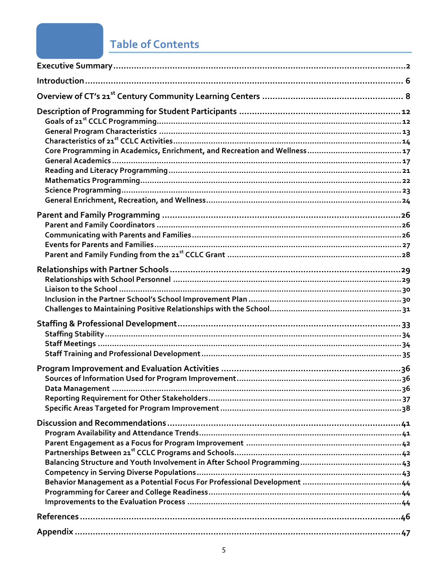## **Table of Contents**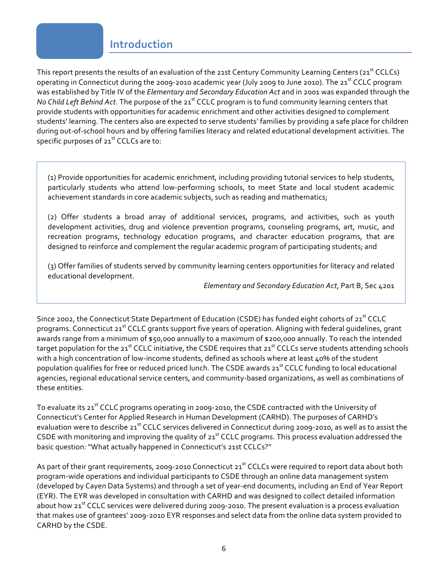### **Introduction**

<span id="page-5-0"></span>This report presents the results of an evaluation of the 21st Century Community Learning Centers (21<sup>st</sup> CCLCs) operating in Connecticut during the 2009-2010 academic year (July 2009 to June 2010). The 21<sup>st</sup> CCLC program was established by Title IV of the *Elementary and Secondary Education Act* and in 2001 was expanded through the *No Child Left Behind Act*. The purpose of the 21<sup>st</sup> CCLC program is to fund community learning centers that provide students with opportunities for academic enrichment and other activities designed to complement students' learning. The centers also are expected to serve students' families by providing a safe place for children during out-of-school hours and by offering families literacy and related educational development activities. The specific purposes of 21<sup>st</sup> CCLCs are to:

(1) Provide opportunities for academic enrichment, including providing tutorial services to help students, particularly students who attend low-performing schools, to meet State and local student academic achievement standards in core academic subjects, such as reading and mathematics;

(2) Offer students a broad array of additional services, programs, and activities, such as youth development activities, drug and violence prevention programs, counseling programs, art, music, and recreation programs, technology education programs, and character education programs, that are designed to reinforce and complement the regular academic program of participating students; and

(3) Offer families of students served by community learning centers opportunities for literacy and related educational development.

*[Elementary\\$and\\$Secondary\\$Education\\$Act](#page-45-0)*,!Part!B,!Sec!4201

Since 2002, the Connecticut State Department of Education (CSDE) has funded eight cohorts of 21<sup>st</sup> CCLC programs. Connecticut 21<sup>st</sup> CCLC grants support five years of operation. Aligning with federal guidelines, grant awards range from a minimum of \$50,000 annually to a maximum of \$200,000 annually. To reach the intended target population for the 21<sup>st</sup> CCLC initiative, the CSDE requires that 21<sup>st</sup> CCLCs serve students attending schools with a high concentration of low-income students, defined as schools where at least 40% of the student population qualifies for free or reduced priced lunch. The CSDE awards 21<sup>st</sup> CCLC funding to local educational agencies, regional educational service centers, and community-based organizations, as well as combinations of these entities.

To evaluate its 21<sup>st</sup> CCLC programs operating in 2009-2010, the CSDE contracted with the University of Connecticut's Center for Applied Research in Human Development (CARHD). The purposes of CARHD's evaluation were to describe 21<sup>st</sup> CCLC services delivered in Connecticut during 2009-2010, as well as to assist the CSDE with monitoring and improving the quality of  $21<sup>st</sup>$  CCLC programs. This process evaluation addressed the basic question: "What actually happened in Connecticut's 21st CCLCs?"

As part of their grant requirements, 2009-2010 Connecticut 21st CCLCs were required to report data about both program-wide operations and individual participants to CSDE through an online data management system (developed by Cayen Data Systems) and through a set of year-end documents, including an End of Year Report (EYR). The EYR was developed in consultation with CARHD and was designed to collect detailed information about how 21<sup>st</sup> CCLC services were delivered during 2009-2010. The present evaluation is a process evaluation that makes use of grantees' 2009-2010 EYR responses and select data from the online data system provided to CARHD by the CSDE.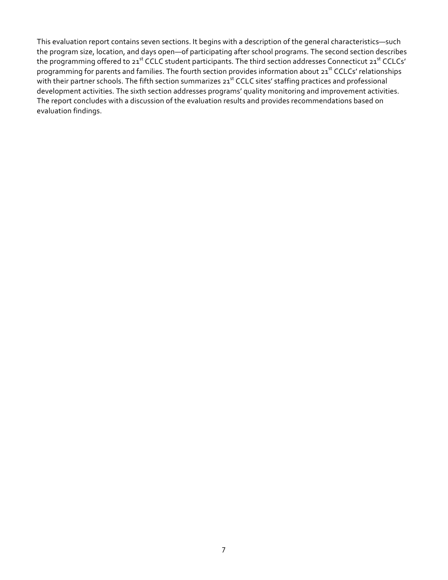This evaluation report contains seven sections. It begins with a description of the general characteristics—such the program size, location, and days open—of participating after school programs. The second section describes the programming offered to 21<sup>st</sup> CCLC student participants. The third section addresses Connecticut 21<sup>st</sup> CCLCs' programming for parents and families. The fourth section provides information about 21st CCLCs' relationships with their partner schools. The fifth section summarizes 21st CCLC sites' staffing practices and professional development activities. The sixth section addresses programs' quality monitoring and improvement activities. The report concludes with a discussion of the evaluation results and provides recommendations based on evaluation findings.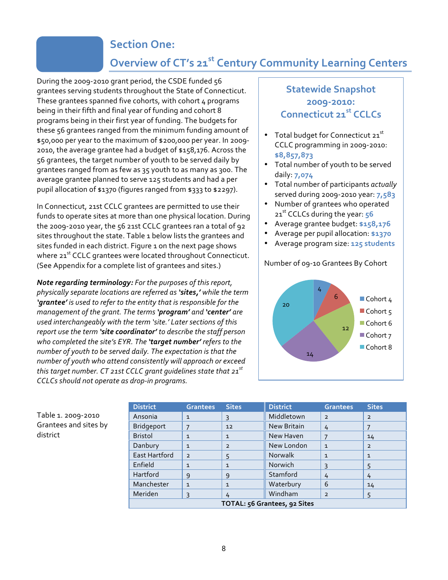### **Section One:**

## **Overview of CT's 21st Century Community Learning Centers**

<span id="page-7-0"></span>During the 2009-2010 grant period, the CSDE funded 56 grantees serving students throughout the State of Connecticut. These grantees spanned five cohorts, with cohort  $4$  programs being in their fifth and final year of funding and cohort 8 programs being in their first year of funding. The budgets for these 56 grantees ranged from the minimum funding amount of \$50,000 per year to the maximum of \$200,000 per year. In 2009-2010, the average grantee had a budget of \$158,176. Across the 56 grantees, the target number of youth to be served daily by grantees ranged from as few as 35 youth to as many as 300. The average grantee planned to serve 125 students and had a per pupil allocation of \$1370 (figures ranged from \$333 to \$2297).

In Connecticut, 21st CCLC grantees are permitted to use their funds to operate sites at more than one physical location. During the 2009-2010 year, the 56 21st CCLC grantees ran a total of 92 sites throughout the state. Table 1 below lists the grantees and sites funded in each district. Figure 1 on the next page shows where 21<sup>st</sup> CCLC grantees were located throughout Connecticut. (See Appendix for a complete list of grantees and sites.)

*Note regarding terminology:* For the purposes of this report, *physically separate locations are referred as 'sites,'* while the term 'grantee' is used to refer to the entity that is responsible for the *management\$of\$the\$grant.\$The\$terms\$'program''and\$'center''are\$* used interchangeably with the term 'site.' Later sections of this *report use the term 'site coordinator' to describe the staff person* who completed the site's EYR. The 'target number' refers to the number of youth to be served daily. The expectation is that the *number\$of\$youth\$who\$attend\$consistently\$will\$approach\$or\$exceed this target number. CT 21st CCLC grant guidelines state that 21<sup>st</sup> CCLCs should not operate as drop-in programs.* 

### **Statewide Snapshot 200952010: Connecticut!21st!CCLCs**

- Total budget for Connecticut  $21<sup>st</sup>$ CCLC programming in 2009-2010: **\$8,857,873**
- Total number of youth to be served daily:!**7,074**
- Total number of participants *actually* served during 2009-2010 year: **7,583**
- Number of grantees who operated 21<sup>st</sup> CCLCs during the year: 56
- Average grantee budget: \$158,176
- Average!per!pupil!allocation:!**\$1370**
- Average!program!size:!**125!students**

#### Number of 09-10 Grantees By Cohort



| Table 1. 2009-2010    |
|-----------------------|
| Grantees and sites by |
| district              |

| <b>District</b>              | <b>Grantees</b> | <b>Sites</b>   | <b>District</b> | <b>Grantees</b> | <b>Sites</b>   |
|------------------------------|-----------------|----------------|-----------------|-----------------|----------------|
| Ansonia                      | $\mathbf{1}$    | 3              | Middletown      | $\overline{2}$  | $\overline{2}$ |
| <b>Bridgeport</b>            | 7               | 12             | New Britain     | 4               |                |
| <b>Bristol</b>               | $\mathbf{1}$    | $\mathbf{1}$   | New Haven       |                 | 14             |
| Danbury                      | $\mathbf{1}$    | $\overline{2}$ | New London      | $\mathbf{1}$    | $\overline{2}$ |
| East Hartford                | $\overline{2}$  | 5              | <b>Norwalk</b>  | $\mathbf{1}$    | $\mathbf{1}$   |
| Enfield                      | $\mathbf{1}$    | $\mathbf{1}$   | Norwich         | ξ               | 5              |
| Hartford                     | 9               | 9              | Stamford        | 4               | 4              |
| Manchester                   | $\mathbf{1}$    | $\mathbf{1}$   | Waterbury       | 6               | 14             |
| Meriden                      | 3               | 4              | Windham         | $\overline{2}$  | 5              |
| TOTAL: 56 Grantees, 92 Sites |                 |                |                 |                 |                |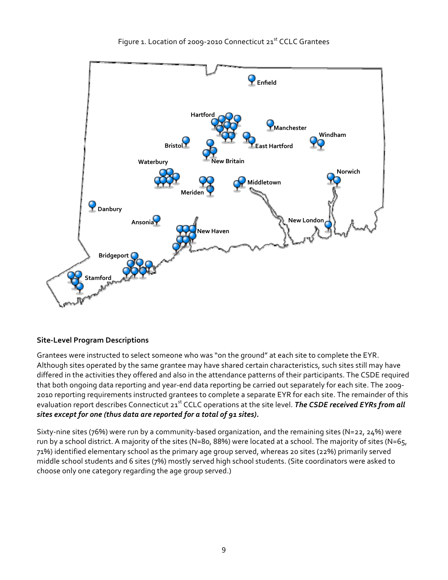

#### **Site-Level Program Descriptions**

Grantees were instructed to select someone who was "on the ground" at each site to complete the EYR. Although sites operated by the same grantee may have shared certain characteristics, such sites still may have differed in the activities they offered and also in the attendance patterns of their participants. The CSDE required that both ongoing data reporting and year-end data reporting be carried out separately for each site. The 2009-2010 reporting requirements instructed grantees to complete a separate EYR for each site. The remainder of this evaluation report describes Connecticut 21<sup>st</sup> CCLC operations at the site level. *The CSDE received EYRs from all* sites except for one (thus data are reported for a total of 91 sites).

Sixty-nine sites (76%) were run by a community-based organization, and the remaining sites (N=22, 24%) were run by a school district. A majority of the sites (N=80, 88%) were located at a school. The majority of sites (N=65, 71%) identified elementary school as the primary age group served, whereas 20 sites (22%) primarily served middle school students and 6 sites (7%) mostly served high school students. (Site coordinators were asked to choose only one category regarding the age group served.)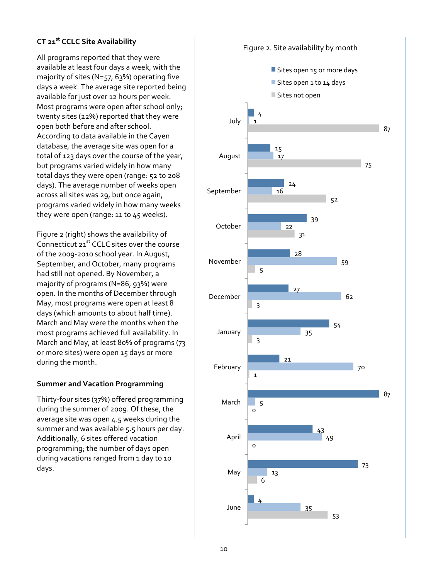#### **CT 21<sup>st</sup> CCLC Site Availability**

All programs reported that they were available at least four days a week, with the majority of sites (N=57, 63%) operating five days a week. The average site reported being available for just over 12 hours per week. Most programs were open after school only; twenty sites (22%) reported that they were open both before and after school. According to data available in the Cayen database, the average site was open for a total of 123 days over the course of the year, but programs varied widely in how many total days they were open (range: 52 to 208 days). The average number of weeks open across all sites was 29, but once again, programs varied widely in how many weeks they were open (range: 11 to  $45$  weeks).

Figure 2 (right) shows the availability of Connecticut  $21<sup>st</sup>$  CCLC sites over the course of the 2009-2010 school year. In August, September, and October, many programs had still not opened. By November, a majority of programs (N=86, 93%) were open. In the months of December through May, most programs were open at least 8 days (which amounts to about half time). March and May were the months when the most programs achieved full availability. In March and May, at least 80% of programs (73 or more sites) were open 15 days or more during the month.

#### **Summer and Vacation Programming**

Thirty-four sites (37%) offered programming during the summer of 2009. Of these, the average site was open 4.5 weeks during the summer and was available 5.5 hours per day. Additionally, 6 sites offered vacation programming; the number of days open during vacations ranged from 1 day to 10 days.

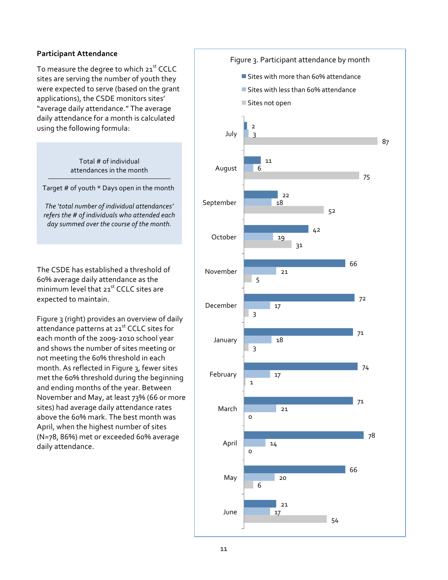#### **Participant!Attendance**

To measure the degree to which 21st CCLC sites are serving the number of youth they were expected to serve (based on the grant applications), the CSDE monitors sites' "average daily attendance." The average daily attendance for a month is calculated using the following formula:

> Total # of individual attendances in the month

Target # of youth \* Days open in the month

The 'total number of individual attendances'  $refers$  the # of individuals who attended each day summed over the course of the month.

The CSDE has established a threshold of 60% average daily attendance as the minimum level that  $21^{st}$  CCLC sites are expected to maintain.

Figure 3 (right) provides an overview of daily attendance patterns at 21<sup>st</sup> CCLC sites for each month of the 2009-2010 school year and shows the number of sites meeting or not meeting the 60% threshold in each month. As reflected in Figure 3, fewer sites met the 60% threshold during the beginning and ending months of the year. Between November and May, at least 73% (66 or more sites) had average daily attendance rates above the 60% mark. The best month was April, when the highest number of sites (N=78, 86%) met or exceeded 60% average daily attendance.

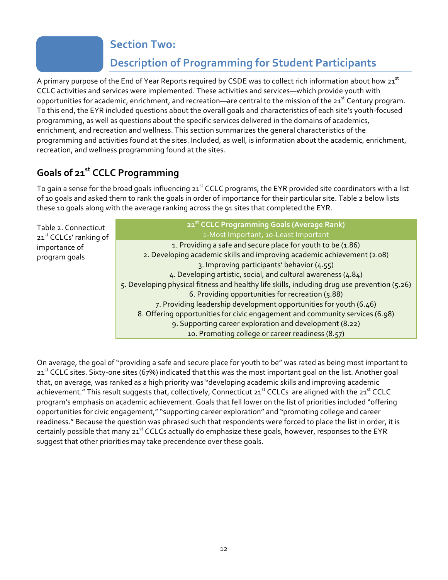### **Section Two:**

## **Description of Programming for Student Participants**

<span id="page-11-0"></span>A primary purpose of the End of Year Reports required by CSDE was to collect rich information about how 21st CCLC activities and services were implemented. These activities and services—which provide youth with opportunities for academic, enrichment, and recreation—are central to the mission of the 21<sup>st</sup> Century program. To this end, the EYR included questions about the overall goals and characteristics of each site's youth-focused programming, as well as questions about the specific services delivered in the domains of academics, enrichment, and recreation and wellness. This section summarizes the general characteristics of the programming and activities found at the sites. Included, as well, is information about the academic, enrichment, recreation, and wellness programming found at the sites.

## **Goals!of 21st!CCLC!Programming**

To gain a sense for the broad goals influencing 21<sup>st</sup> CCLC programs, the EYR provided site coordinators with a list of 10 goals and asked them to rank the goals in order of importance for their particular site. Table 2 below lists these 10 goals along with the average ranking across the 91 sites that completed the EYR.

| Table 2. Connecticut<br>21 <sup>st</sup> CCLCs' ranking of | 21 <sup>st</sup> CCLC Programming Goals (Average Rank)<br>1-Most Important, 10-Least Important                                                                                                                                                                                                                                                                                                            |
|------------------------------------------------------------|-----------------------------------------------------------------------------------------------------------------------------------------------------------------------------------------------------------------------------------------------------------------------------------------------------------------------------------------------------------------------------------------------------------|
| importance of<br>program goals                             | 1. Providing a safe and secure place for youth to be (1.86)<br>2. Developing academic skills and improving academic achievement (2.08)<br>3. Improving participants' behavior (4.55)<br>4. Developing artistic, social, and cultural awareness (4.84)<br>5. Developing physical fitness and healthy life skills, including drug use prevention (5.26)<br>6. Providing opportunities for recreation (5.88) |
|                                                            | 7. Providing leadership development opportunities for youth (6.46)<br>8. Offering opportunities for civic engagement and community services (6.98)<br>9. Supporting career exploration and development (8.22)<br>10. Promoting college or career readiness (8.57)                                                                                                                                         |

On average, the goal of "providing a safe and secure place for youth to be" was rated as being most important to  $21<sup>st</sup>$  CCLC sites. Sixty-one sites (67%) indicated that this was the most important goal on the list. Another goal that, on average, was ranked as a high priority was "developing academic skills and improving academic achievement." This result suggests that, collectively, Connecticut 21<sup>st</sup> CCLCs are aligned with the 21<sup>st</sup> CCLC program's emphasis on academic achievement. Goals that fell lower on the list of priorities included "offering opportunities for civic engagement," "supporting career exploration" and "promoting college and career readiness." Because the question was phrased such that respondents were forced to place the list in order, it is certainly possible that many 21<sup>st</sup> CCLCs actually do emphasize these goals, however, responses to the EYR suggest that other priorities may take precendence over these goals.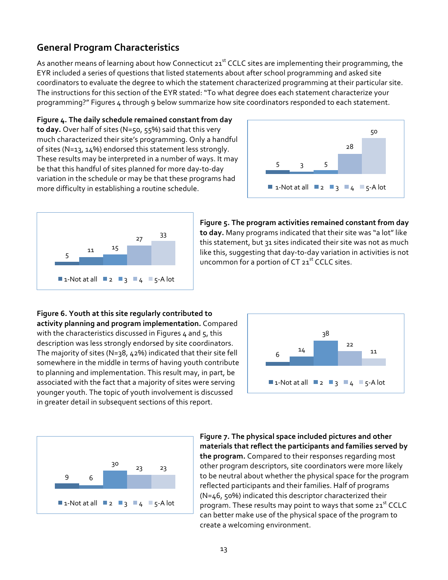### **General!Program!Characteristics**

As another means of learning about how Connecticut 21st CCLC sites are implementing their programming, the EYR included a series of questions that listed statements about after school programming and asked site coordinators to evaluate the degree to which the statement characterized programming at their particular site. The instructions for this section of the EYR stated: "To what degree does each statement characterize your programming?" Figures 4 through 9 below summarize how site coordinators responded to each statement.

Figure 4. The daily schedule remained constant from day to day. Over half of sites (N=50, 55%) said that this very much characterized their site's programming. Only a handful of sites (N=13, 14%) endorsed this statement less strongly. These results may be interpreted in a number of ways. It may be that this handful of sites planned for more day-to-day variation in the schedule or may be that these programs had more difficulty in establishing a routine schedule.





#### Figure 5. The program activities remained constant from day to day. Many programs indicated that their site was "a lot" like this statement, but 31 sites indicated their site was not as much like this, suggesting that day-to-day variation in activities is not uncommon for a portion of CT  $21^{st}$  CCLC sites.

Figure 6. Youth at this site regularly contributed to activity planning and program implementation. Compared with the characteristics discussed in Figures 4 and  $5$ , this description was less strongly endorsed by site coordinators. The majority of sites (N=38, 42%) indicated that their site fell somewhere in the middle in terms of having youth contribute to planning and implementation. This result may, in part, be associated with the fact that a majority of sites were serving younger youth. The topic of youth involvement is discussed in greater detail in subsequent sections of this report.





Figure 7. The physical space included pictures and other materials that reflect the participants and families served by **the program.** Compared to their responses regarding most other program descriptors, site coordinators were more likely to be neutral about whether the physical space for the program reflected participants and their families. Half of programs  $(N=46, 50%)$  indicated this descriptor characterized their program. These results may point to ways that some 21<sup>st</sup> CCLC can better make use of the physical space of the program to create a welcoming environment.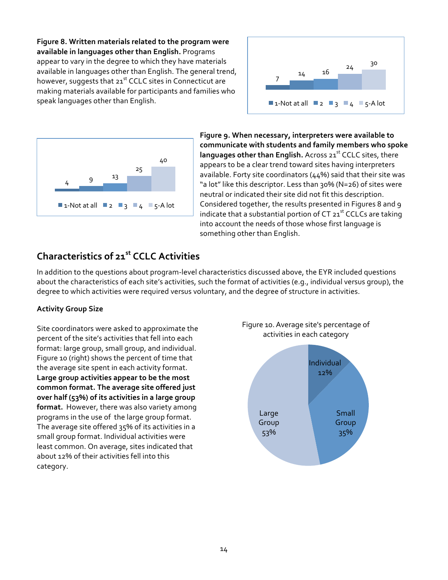Figure 8. Written materials related to the program were available in languages other than English. Programs appear to vary in the degree to which they have materials available in languages other than English. The general trend, however, suggests that  $21<sup>st</sup>$  CCLC sites in Connecticut are making materials available for participants and families who speak languages other than English.





Figure 9. When necessary, interpreters were available to communicate with students and family members who spoke **languages other than English.** Across 21<sup>st</sup> CCLC sites, there appears to be a clear trend toward sites having interpreters available. Forty site coordinators ( $44%$ ) said that their site was "a lot" like this descriptor. Less than 30% (N=26) of sites were neutral or indicated their site did not fit this description. Considered together, the results presented in Figures 8 and 9 indicate that a substantial portion of CT  $21^{st}$  CCLCs are taking into account the needs of those whose first language is something other than English.

### **Characteristics!of!21st!CCLC!Activities**

In addition to the questions about program-level characteristics discussed above, the EYR included questions about the characteristics of each site's activities, such the format of activities (e.g., individual versus group), the degree to which activities were required versus voluntary, and the degree of structure in activities.

#### **Activity!Group!Size!**

Site coordinators were asked to approximate the percent of the site's activities that fell into each format: large group, small group, and individual. Figure 10 (right) shows the percent of time that the average site spent in each activity format. Large group activities appear to be the most common format. The average site offered just over half (53%) of its activities in a large group format. However, there was also variety among programs in the use of the large group format. The average site offered  $35%$  of its activities in a small group format. Individual activities were least common. On average, sites indicated that about 12% of their activities fell into this category.

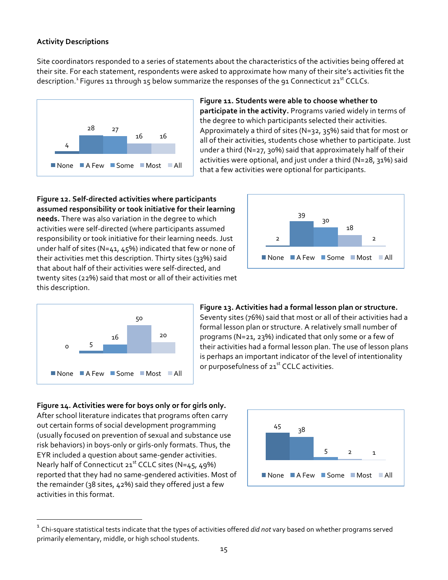#### **Activity!Descriptions**

Site coordinators responded to a series of statements about the characteristics of the activities being offered at their site. For each statement, respondents were asked to approximate how many of their site's activities fit the description.<sup>1</sup> Figures 11 through 15 below summarize the responses of the 91 Connecticut 21<sup>st</sup> CCLCs.



Figure 11. Students were able to choose whether to participate in the activity. Programs varied widely in terms of the degree to which participants selected their activities. Approximately a third of sites (N=32, 35%) said that for most or all of their activities, students chose whether to participate. Just under a third (N=27, 30%) said that approximately half of their activities were optional, and just under a third (N=28, 31%) said that a few activities were optional for participants.

Figure 12. Self-directed activities where participants assumed responsibility or took initiative for their learning needs. There was also variation in the degree to which activities were self-directed (where participants assumed responsibility or took initiative for their learning needs. Just under half of sites (N=41, 45%) indicated that few or none of their activities met this description. Thirty sites (33%) said that about half of their activities were self-directed, and twenty sites (22%) said that most or all of their activities met this description.





!!!!!!!!!!!!!!!!!!!!!!!!!!!!!!!!!!!!!!!!!!!!!!!!!!!!!!!!!!!!!!!!!!!

#### Figure 13. Activities had a formal lesson plan or structure.

Seventy sites (76%) said that most or all of their activities had a formal lesson plan or structure. A relatively small number of programs (N=21, 23%) indicated that only some or a few of their activities had a formal lesson plan. The use of lesson plans is perhaps an important indicator of the level of intentionality or purposefulness of 21<sup>st</sup> CCLC activities.

Figure 14. Activities were for boys only or for girls only. After school literature indicates that programs often carry out certain forms of social development programming (usually focused on prevention of sexual and substance use risk behaviors) in boys-only or girls-only formats. Thus, the EYR included a question about same-gender activities. Nearly half of Connecticut  $21^{st}$  CCLC sites (N=45, 49%) reported that they had no same-gendered activities. Most of the remainder (38 sites, 42%) said they offered just a few activities in this format.



<sup>&</sup>lt;sup>1</sup> Chi-square statistical tests indicate that the types of activities offered *did not* vary based on whether programs served primarily elementary, middle, or high school students.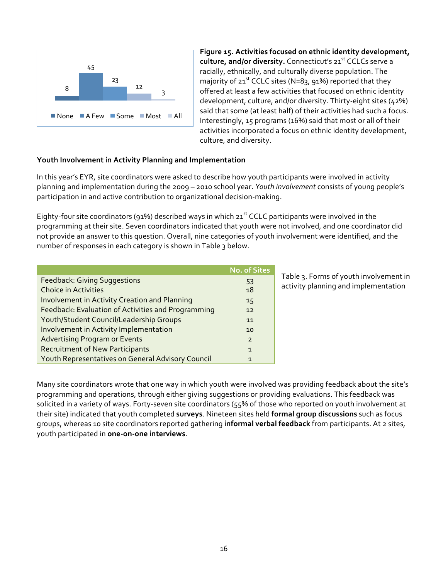

Figure 15. Activities focused on ethnic identity development, **culture, and/or diversity.** Connecticut's 21<sup>st</sup> CCLCs serve a racially, ethnically, and culturally diverse population. The majority of  $21^{st}$  CCLC sites (N=83, 91%) reported that they offered at least a few activities that focused on ethnic identity development, culture, and/or diversity. Thirty-eight sites (42%) said that some (at least half) of their activities had such a focus. Interestingly, 15 programs (16%) said that most or all of their activities incorporated a focus on ethnic identity development, culture, and diversity.

#### **Youth Involvement in Activity Planning and Implementation**

In this year's EYR, site coordinators were asked to describe how youth participants were involved in activity planning and implementation during the 2009 – 2010 school year. *Youth involvement* consists of young people's participation in and active contribution to organizational decision-making.

Eighty-four site coordinators (91%) described ways in which 21<sup>st</sup> CCLC participants were involved in the programming at their site. Seven coordinators indicated that youth were not involved, and one coordinator did not provide an answer to this question. Overall, nine categories of youth involvement were identified, and the number of responses in each category is shown in Table 3 below.

|                                                      | <b>No. of Sites</b> |
|------------------------------------------------------|---------------------|
| <b>Feedback: Giving Suggestions</b>                  | 53                  |
| <b>Choice in Activities</b>                          | 18                  |
| <b>Involvement in Activity Creation and Planning</b> | 15                  |
| Feedback: Evaluation of Activities and Programming   | 12                  |
| Youth/Student Council/Leadership Groups              | 11                  |
| Involvement in Activity Implementation               | 10                  |
| <b>Advertising Program or Events</b>                 | $\mathcal{P}$       |
| <b>Recruitment of New Participants</b>               | $\mathbf{1}$        |
| Youth Representatives on General Advisory Council    | $\mathbf{1}$        |

Table 3. Forms of youth involvement in activity planning and implementation

Many site coordinators wrote that one way in which youth were involved was providing feedback about the site's programming and operations, through either giving suggestions or providing evaluations. This feedback was solicited in a variety of ways. Forty-seven site coordinators (55% of those who reported on youth involvement at their site) indicated that youth completed **surveys**. Nineteen sites held **formal group discussions** such as focus groups, whereas 10 site coordinators reported gathering **informal verbal feedback** from participants. At 2 sites, youth participated in one-on-one interviews.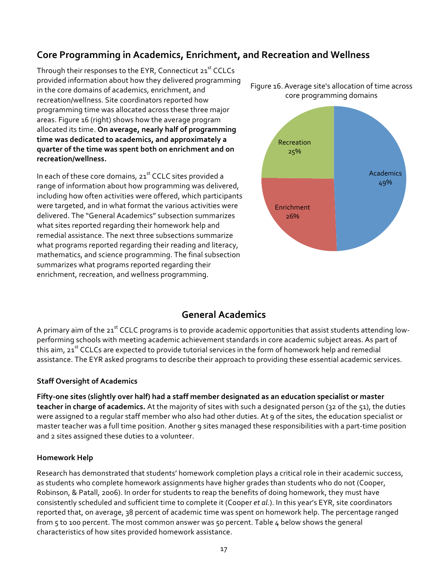### **Core Programming in Academics, Enrichment, and Recreation and Wellness**

Through their responses to the EYR, Connecticut 21<sup>st</sup> CCLCs provided information about how they delivered programming in the core domains of academics, enrichment, and recreation/wellness. Site coordinators reported how programming time was allocated across these three major areas. Figure 16 (right) shows how the average program allocated its time. On average, nearly half of programming time was dedicated to academics, and approximately a **quarter of the time was spent both on enrichment and on recreation/wellness.**

In each of these core domains, 21st CCLC sites provided a range of information about how programming was delivered, including how often activities were offered, which participants were targeted, and in what format the various activities were delivered. The "General Academics" subsection summarizes what sites reported regarding their homework help and remedial assistance. The next three subsections summarize what programs reported regarding their reading and literacy, mathematics, and science programming. The final subsection summarizes what programs reported regarding their enrichment, recreation, and wellness programming.

Figure 16. Average site's allocation of time across core programming domains



#### **General!Academics**

A primary aim of the 21<sup>st</sup> CCLC programs is to provide academic opportunities that assist students attending lowperforming schools with meeting academic achievement standards in core academic subject areas. As part of this aim, 21<sup>st</sup> CCLCs are expected to provide tutorial services in the form of homework help and remedial assistance. The EYR asked programs to describe their approach to providing these essential academic services.

#### **Staff Oversight of Academics**

Fifty-one sites (slightly over half) had a staff member designated as an education specialist or master teacher in charge of academics. At the majority of sites with such a designated person (32 of the 51), the duties were assigned to a regular staff member who also had other duties. At 9 of the sites, the education specialist or master teacher was a full time position. Another 9 sites managed these responsibilities with a part-time position and 2 sites assigned these duties to a volunteer.

#### **Homework!Help**

Research has demonstrated that students' homework completion plays a critical role in their academic success, as students who complete homework assignments have higher grades than students who do not (Cooper, Robinson, & Patall, 2006). In order for students to reap the benefits of doing homework, they must have consistently scheduled and sufficient time to complete it (Cooper *et al.*). In this year's EYR, site coordinators reported that, on average, 38 percent of academic time was spent on homework help. The percentage ranged from 5 to 100 percent. The most common answer was 50 percent. Table 4 below shows the general characteristics of how sites provided homework assistance.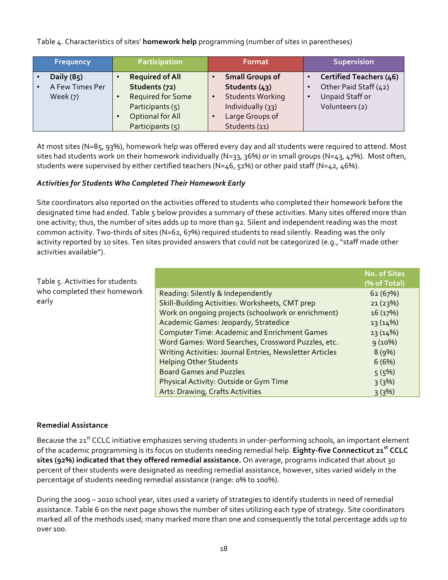Table 4. Characteristics of sites' **homework help** programming (number of sites in parentheses)

| <b>Frequency</b> | Participation            | Format                               | <b>Supervision</b>             |
|------------------|--------------------------|--------------------------------------|--------------------------------|
| Daily (85)       | <b>Required of All</b>   | <b>Small Groups of</b>               | <b>Certified Teachers (46)</b> |
| A Few Times Per  | Students (72)            | Students (43)                        | Other Paid Staff (42)          |
| Week $(7)$       | <b>Required for Some</b> | <b>Students Working</b><br>$\bullet$ | Unpaid Staff or<br>$\bullet$   |
|                  | Participants (5)         | Individually (33)                    | Volunteers (2)                 |
|                  | Optional for All         | Large Groups of                      |                                |
|                  | Participants $(5)$       | Students (11)                        |                                |

At most sites (N=85, 93%), homework help was offered every day and all students were required to attend. Most sites had students work on their homework individually (N=33, 36%) or in small groups (N=43, 47%). Most often, students were supervised by either certified teachers (N=46, 51%) or other paid staff (N=42, 46%).

#### *Activities'for'Students'Who'Completed'Their'Homework'Early*

Site coordinators also reported on the activities offered to students who completed their homework before the designated time had ended. Table 5 below provides a summary of these activities. Many sites offered more than one activity; thus, the number of sites adds up to more than 92. Silent and independent reading was the most common activity. Two-thirds of sites (N=62, 67%) required students to read silently. Reading was the only activity reported by 10 sites. Ten sites provided answers that could not be categorized (e.g., "staff made other activities available").

Table 5. Activities for students who completed their homework early

|                                                          | (% of Total) |
|----------------------------------------------------------|--------------|
| Reading: Silently & Independently                        | 62(67%)      |
| Skill-Building Activities: Worksheets, CMT prep          | 21(23%)      |
| Work on ongoing projects (schoolwork or enrichment)      | 16(17%)      |
| Academic Games: Jeopardy, Stratedice                     | 13(14%)      |
| <b>Computer Time: Academic and Enrichment Games</b>      | 13 (14%)     |
| Word Games: Word Searches, Crossword Puzzles, etc.       | 9(10%)       |
| Writing Activities: Journal Entries, Newsletter Articles | 8(9%)        |
| <b>Helping Other Students</b>                            | 6(6%)        |
| <b>Board Games and Puzzles</b>                           | 5(5%)        |
| Physical Activity: Outside or Gym Time                   | 3(3%)        |
| Arts: Drawing, Crafts Activities                         | 3(3%)        |

**No.!of!Sites!**

#### **Remedial!Assistance**

Because the 21<sup>st</sup> CCLC initiative emphasizes serving students in under-performing schools, an important element of the academic programming is its focus on students needing remedial help. **Eighty-five Connecticut 21**<sup>st</sup> CCLC sites (92%) indicated that they offered remedial assistance. On average, programs indicated that about 30 percent of their students were designated as needing remedial assistance, however, sites varied widely in the percentage of students needing remedial assistance (range: 0% to 100%).

During the 2009 – 2010 school year, sites used a variety of strategies to identify students in need of remedial assistance. Table 6 on the next page shows the number of sites utilizing each type of strategy. Site coordinators marked all of the methods used; many marked more than one and consequently the total percentage adds up to over 100.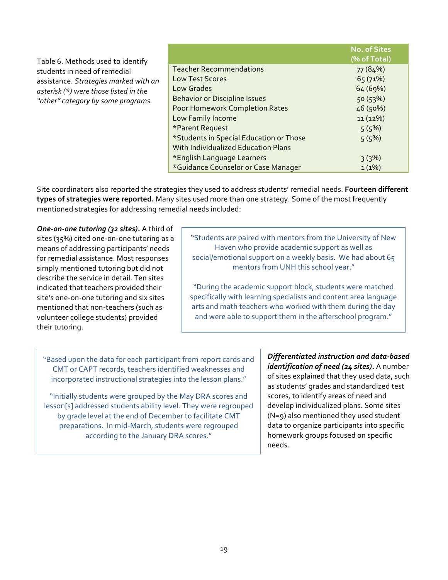|                                       |                                            | <b>No. of Sites</b> |
|---------------------------------------|--------------------------------------------|---------------------|
| Table 6. Methods used to identify     |                                            | (% of Total)        |
| students in need of remedial          | <b>Teacher Recommendations</b>             | 77 (84%)            |
| assistance. Strategies marked with an | <b>Low Test Scores</b>                     | 65(71%)             |
| asterisk (*) were those listed in the | <b>Low Grades</b>                          | 64 (69%)            |
| "other" category by some programs.    | <b>Behavior or Discipline Issues</b>       | 50(53%)             |
|                                       | Poor Homework Completion Rates             | 46 (50%)            |
|                                       | Low Family Income                          | 11(12%)             |
|                                       | *Parent Request                            | 5(5%)               |
|                                       | *Students in Special Education or Those    | 5(5%)               |
|                                       | <b>With Individualized Education Plans</b> |                     |
|                                       | *English Language Learners                 | 3(3%)               |
|                                       | *Guidance Counselor or Case Manager        | $1(1\%)$            |

Site coordinators also reported the strategies they used to address students' remedial needs. Fourteen different **types of strategies were reported.** Many sites used more than one strategy. Some of the most frequently mentioned strategies for addressing remedial needs included:

**One-on-one tutoring (32 sites).** A third of sites (35%) cited one-on-one tutoring as a means of addressing participants' needs for remedial assistance. Most responses simply mentioned tutoring but did not describe the service in detail. Ten sites indicated that teachers provided their site's one-on-one tutoring and six sites mentioned that non-teachers (such as volunteer college students) provided their tutoring.

"Students are paired with mentors from the University of New Haven who provide academic support as well as social/emotional support on a weekly basis. We had about 65 mentors from UNH this school year."

"During the academic support block, students were matched specifically with learning specialists and content area language arts and math teachers who worked with them during the day and were able to support them in the afterschool program."

"Based upon the data for each participant from report cards and CMT or CAPT records, teachers identified weaknesses and incorporated instructional strategies into the lesson plans."

"Initially students were grouped by the May DRA scores and lesson[s] addressed students ability level. They were regrouped by grade level at the end of December to facilitate CMT preparations. In mid-March, students were regrouped according to the January DRA scores."

*Differentiated instruction and data-based identification of need (24 sites).* A number of sites explained that they used data, such as students' grades and standardized test scores, to identify areas of need and develop individualized plans. Some sites  $(N=q)$  also mentioned they used student data to organize participants into specific homework groups focused on specific needs.!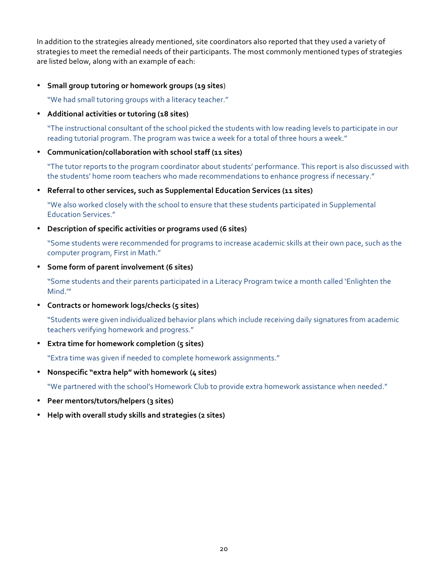In addition to the strategies already mentioned, site coordinators also reported that they used a variety of strategies to meet the remedial needs of their participants. The most commonly mentioned types of strategies are listed below, along with an example of each:

• Small group tutoring or homework groups (19 sites)

"We had small tutoring groups with a literacy teacher."

• Additional activities or tutoring (18 sites)

"The instructional consultant of the school picked the students with low reading levels to participate in our reading tutorial program. The program was twice a week for a total of three hours a week."

#### • Communication/collaboration with school staff (11 sites)

"The tutor reports to the program coordinator about students' performance. This report is also discussed with the students' home room teachers who made recommendations to enhance progress if necessary."

• Referral to other services, such as Supplemental Education Services (11 sites)

"We also worked closely with the school to ensure that these students participated in Supplemental **Education Services."** 

• Description of specific activities or programs used (6 sites)

"Some students were recommended for programs to increase academic skills at their own pace, such as the computer program, First in Math."

• Some form of parent involvement (6 sites)

"Some students and their parents participated in a Literacy Program twice a month called 'Enlighten the Mind.'"

**• Contracts or homework logs/checks (5 sites)** 

"Students were given individualized behavior plans which include receiving daily signatures from academic teachers verifying homework and progress."

**•** Extra time for homework completion (5 sites)

"Extra time was given if needed to complete homework assignments."

• Nonspecific "extra help" with homework (4 sites)

"We partnered with the school's Homework Club to provide extra homework assistance when needed."

- **Peer mentors/tutors/helpers (3 sites)**
- Help with overall study skills and strategies (2 sites)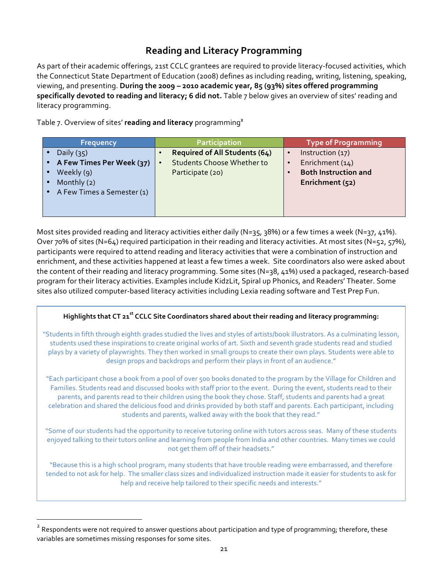### **Reading!and!Literacy!Programming**

As part of their academic offerings, 21st CCLC grantees are required to provide literacy-focused activities, which the Connecticut State Department of Education (2008) defines as including reading, writing, listening, speaking, viewing, and presenting. During the 2009 – 2010 academic year, 85 (93%) sites offered programming specifically devoted to reading and literacy; 6 did not. Table 7 below gives an overview of sites' reading and literacy programming.

Table 7. Overview of sites' reading and literacy programming<sup>2</sup>

| Frequency                  | <b>Participation</b>                           | <b>Type of Programming</b>  |
|----------------------------|------------------------------------------------|-----------------------------|
| Daily $(35)$               | <b>Required of All Students (64)</b>           | Instruction (17)            |
| A Few Times Per Week (37)  | <b>Students Choose Whether to</b><br>$\bullet$ | Enrichment (14)             |
| Weekly (9)                 | Participate (20)                               | <b>Both Instruction and</b> |
| Monthly (2)                |                                                | Enrichment (52)             |
| A Few Times a Semester (1) |                                                |                             |
|                            |                                                |                             |
|                            |                                                |                             |

Most sites provided reading and literacy activities either daily (N=35, 38%) or a few times a week (N=37, 41%). Over 70% of sites (N=64) required participation in their reading and literacy activities. At most sites (N=52, 57%), participants were required to attend reading and literacy activities that were a combination of instruction and enrichment, and these activities happened at least a few times a week. Site coordinators also were asked about the content of their reading and literacy programming. Some sites (N=38, 41%) used a packaged, research-based program for their literacy activities. Examples include KidzLit, Spiral up Phonics, and Readers' Theater. Some sites also utilized computer-based literacy activities including Lexia reading software and Test Prep Fun.

#### Highlights that CT 21<sup>st</sup> CCLC Site Coordinators shared about their reading and literacy programming:

"Students in fifth through eighth grades studied the lives and styles of artists/book illustrators. As a culminating lesson, students used these inspirations to create original works of art. Sixth and seventh grade students read and studied plays by a variety of playwrights. They then worked in small groups to create their own plays. Students were able to design props and backdrops and perform their plays in front of an audience."

"Each participant chose a book from a pool of over 500 books donated to the program by the Village for Children and Families. Students read and discussed books with staff prior to the event. During the event, students read to their parents, and parents read to their children using the book they chose. Staff, students and parents had a great celebration and shared the delicious food and drinks provided by both staff and parents. Each participant, including students and parents, walked away with the book that they read."

"Some of our students had the opportunity to receive tutoring online with tutors across seas. Many of these students enjoyed talking to their tutors online and learning from people from India and other countries. Many times we could not get them off of their headsets."

"Because this is a high school program, many students that have trouble reading were embarrassed, and therefore tended to not ask for help. The smaller class sizes and individualized instruction made it easier for students to ask for help and receive help tailored to their specific needs and interests."

!!!!!!!!!!!!!!!!!!!!!!!!!!!!!!!!!!!!!!!!!!!!!!!!!!!!!!!!!!!!!!!!!!!

<sup>&</sup>lt;sup>2</sup> Respondents were not required to answer questions about participation and type of programming; therefore, these variables are sometimes missing responses for some sites.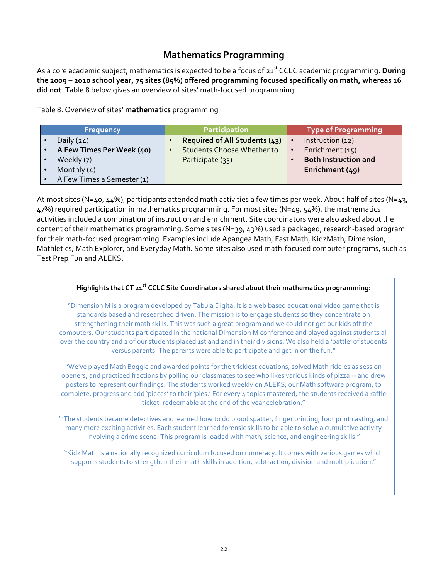### **Mathematics!Programming**

As a core academic subject, mathematics is expected to be a focus of 21<sup>st</sup> CCLC academic programming. **During** the 2009 – 2010 school year, 75 sites (85%) offered programming focused specifically on math, whereas 16 did not. Table 8 below gives an overview of sites' math-focused programming.

Table 8. Overview of sites' mathematics programming

**Table!of!Contents**

| <b>Frequency</b>           | <b>Participation</b>              |           | <b>Type of Programming</b>  |
|----------------------------|-----------------------------------|-----------|-----------------------------|
| Daily $(24)$               | Required of All Students (43)     | $\bullet$ | Instruction (12)            |
| A Few Times Per Week (40)  | <b>Students Choose Whether to</b> | $\bullet$ | Enrichment (15)             |
| Weekly (7)                 | Participate (33)                  |           | <b>Both Instruction and</b> |
| Monthly $(4)$              |                                   |           | Enrichment (49)             |
| A Few Times a Semester (1) |                                   |           |                             |

At most sites (N=40, 44%), participants attended math activities a few times per week. About half of sites (N=43, 47%) required participation in mathematics programming. For most sites (N=49, 54%), the mathematics activities included a combination of instruction and enrichment. Site coordinators were also asked about the content of their mathematics programming. Some sites (N=39, 43%) used a packaged, research-based program for their math-focused programming. Examples include Apangea Math, Fast Math, KidzMath, Dimension, Mathletics, Math Explorer, and Everyday Math. Some sites also used math-focused computer programs, such as Test Prep Fun and ALEKS.

#### Highlights that CT 21<sup>st</sup> CCLC Site Coordinators shared about their mathematics programming:

"Dimension M is a program developed by Tabula Digita. It is a web based educational video game that is standards based and researched driven. The mission is to engage students so they concentrate on strengthening their math skills. This was such a great program and we could not get our kids off the computers. Our students participated in the national Dimension M conference and played against students all over the country and 2 of our students placed 1st and 2nd in their divisions. We also held a 'battle' of students versus parents. The parents were able to participate and get in on the fun."

"We've played Math Boggle and awarded points for the trickiest equations, solved Math riddles as session openers, and practiced fractions by polling our classmates to see who likes various kinds of pizza -- and drew posters to represent our findings. The students worked weekly on ALEKS, our Math software program, to complete, progress and add 'pieces' to their 'pies.' For every 4 topics mastered, the students received a raffle ticket, redeemable at the end of the year celebration."

"The students became detectives and learned how to do blood spatter, finger printing, foot print casting, and many more exciting activities. Each student learned forensic skills to be able to solve a cumulative activity involving a crime scene. This program is loaded with math, science, and engineering skills."

"Kidz Math is a nationally recognized curriculum focused on numeracy. It comes with various games which supports students to strengthen their math skills in addition, subtraction, division and multiplication."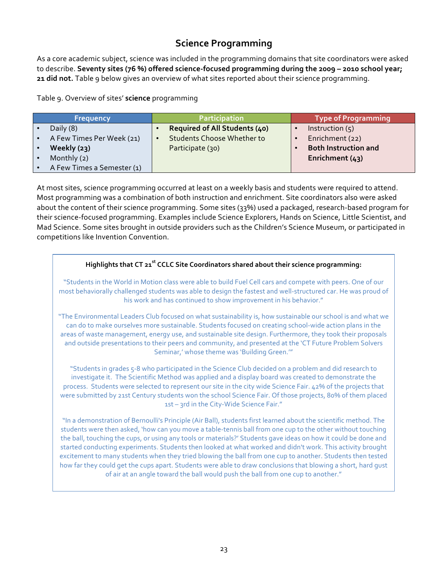### **Science Programming**

As a core academic subject, science was included in the programming domains that site coordinators were asked to describe. Seventy sites (76 %) offered science-focused programming during the 2009 - 2010 school year; 21 did not. Table 9 below gives an overview of what sites reported about their science programming.

Table 9. Overview of sites' **science** programming

| <b>Frequency</b>           | <b>Participation</b>                           | <b>Type of Programming</b>  |
|----------------------------|------------------------------------------------|-----------------------------|
| Daily (8)                  | <b>Required of All Students (40)</b>           | Instruction $(5)$           |
| A Few Times Per Week (21)  | <b>Students Choose Whether to</b><br>$\bullet$ | Enrichment (22)             |
| Weekly $(23)$              | Participate (30)                               | <b>Both Instruction and</b> |
| Monthly (2)                |                                                | Enrichment $(43)$           |
| A Few Times a Semester (1) |                                                |                             |

At most sites, science programming occurred at least on a weekly basis and students were required to attend. Most programming was a combination of both instruction and enrichment. Site coordinators also were asked about the content of their science programming. Some sites (33%) used a packaged, research-based program for their science-focused programming. Examples include Science Explorers, Hands on Science, Little Scientist, and Mad Science. Some sites brought in outside providers such as the Children's Science Museum, or participated in competitions like Invention Convention.

### Highlights that CT 21<sup>st</sup> CCLC Site Coordinators shared about their science programming: "Students in the World in Motion class were able to build Fuel Cell cars and compete with peers. One of our most behaviorally challenged students was able to design the fastest and well-structured car. He was proud of his work and has continued to show improvement in his behavior." "The Environmental Leaders Club focused on what sustainability is, how sustainable our school is and what we can do to make ourselves more sustainable. Students focused on creating school-wide action plans in the areas of waste management, energy use, and sustainable site design. Furthermore, they took their proposals and outside presentations to their peers and community, and presented at the 'CT Future Problem Solvers Seminar,' whose theme was 'Building Green.'" "Students in grades 5-8 who participated in the Science Club decided on a problem and did research to investigate it. The Scientific Method was applied and a display board was created to demonstrate the process. Students were selected to represent our site in the city wide Science Fair. 42% of the projects that were submitted by 21st Century students won the school Science Fair. Of those projects, 80% of them placed 1st – 3rd in the City-Wide Science Fair." "In a demonstration of Bernoulli's Principle (Air Ball), students first learned about the scientific method. The students were then asked, 'how can you move a table-tennis ball from one cup to the other without touching the ball, touching the cups, or using any tools or materials?' Students gave ideas on how it could be done and started conducting experiments. Students then looked at what worked and didn't work. This activity brought excitement to many students when they tried blowing the ball from one cup to another. Students then tested how far they could get the cups apart. Students were able to draw conclusions that blowing a short, hard gust of air at an angle toward the ball would push the ball from one cup to another."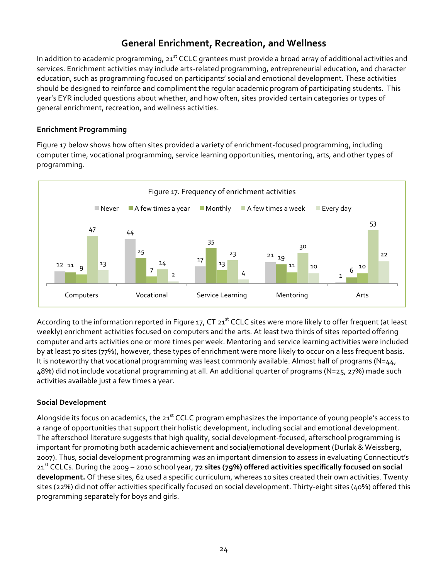### **General Enrichment, Recreation, and Wellness**

In addition to academic programming,  $21^{st}$  CCLC grantees must provide a broad array of additional activities and services. Enrichment activities may include arts-related programming, entrepreneurial education, and character education, such as programming focused on participants' social and emotional development. These activities should be designed to reinforce and compliment the regular academic program of participating students. This year's EYR included questions about whether, and how often, sites provided certain categories or types of general enrichment, recreation, and wellness activities.

#### **Enrichment Programming**

Figure 17 below shows how often sites provided a variety of enrichment-focused programming, including computer time, vocational programming, service learning opportunities, mentoring, arts, and other types of programming.!



According to the information reported in Figure 17, CT 21st CCLC sites were more likely to offer frequent (at least weekly) enrichment activities focused on computers and the arts. At least two thirds of sites reported offering computer and arts activities one or more times per week. Mentoring and service learning activities were included by at least 70 sites (77%), however, these types of enrichment were more likely to occur on a less frequent basis. It is noteworthy that vocational programming was least commonly available. Almost half of programs (N=44, 48%) did not include vocational programming at all. An additional quarter of programs (N=25, 27%) made such activities available just a few times a year.

#### **Social!Development**

Alongside its focus on academics, the  $21<sup>st</sup>$  CCLC program emphasizes the importance of young people's access to a range of opportunities that support their holistic development, including social and emotional development. The afterschool literature suggests that high quality, social development-focused, afterschool programming is important for promoting both academic achievement and social/emotional development (Durlak & Weissberg, 2007). Thus, social development programming was an important dimension to assess in evaluating Connecticut's 21<sup>st</sup> CCLCs. During the 2009 – 2010 school year, 72 sites (79%) offered activities specifically focused on social development. Of these sites, 62 used a specific curriculum, whereas 10 sites created their own activities. Twenty sites (22%) did not offer activities specifically focused on social development. Thirty-eight sites (40%) offered this programming separately for boys and girls.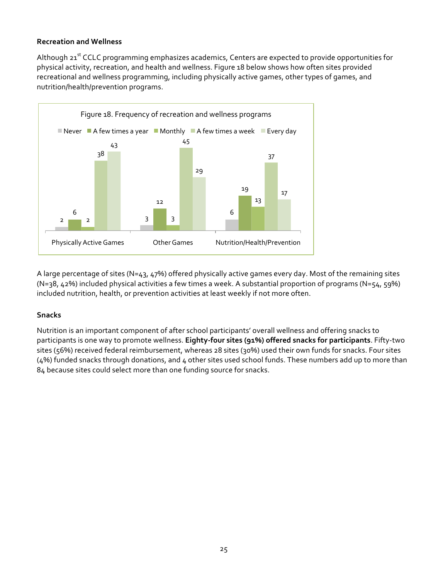#### **Recreation!and!Wellness**

Although 21<sup>st</sup> CCLC programming emphasizes academics, Centers are expected to provide opportunities for physical activity, recreation, and health and wellness. Figure 18 below shows how often sites provided recreational and wellness programming, including physically active games, other types of games, and nutrition/health/prevention programs.



A large percentage of sites (N=43, 47%) offered physically active games every day. Most of the remaining sites (N=38, 42%) included physical activities a few times a week. A substantial proportion of programs (N=54, 59%) included nutrition, health, or prevention activities at least weekly if not more often.

#### **Snacks**

Nutrition is an important component of after school participants' overall wellness and offering snacks to participants is one way to promote wellness. **Eighty-four sites (91%) offered snacks for participants**. Fifty-two sites (56%) received federal reimbursement, whereas 28 sites (30%) used their own funds for snacks. Four sites (4%) funded snacks through donations, and 4 other sites used school funds. These numbers add up to more than 84 because sites could select more than one funding source for snacks.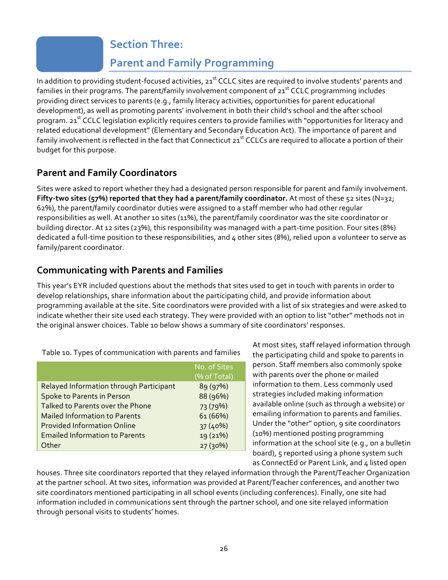### **Section Three:**

## **Parent and Family Programming**

<span id="page-25-0"></span>In addition to providing student-focused activities, 21<sup>st</sup> CCLC sites are required to involve students' parents and families in their programs. The parent/family involvement component of  $21<sup>st</sup>$  CCLC programming includes providing direct services to parents (e.g., family literacy activities, opportunities for parent educational development), as well as promoting parents' involvement in both their child's school and the after school program. 21<sup>st</sup> CCLC legislation explicitly requires centers to provide families with "opportunities for literacy and related educational development" (Elementary and Secondary Education Act). The importance of parent and family involvement is reflected in the fact that Connecticut 21<sup>st</sup> CCLCs are required to allocate a portion of their budget for this purpose.

### **Parent!and!Family Coordinators**

Sites were asked to report whether they had a designated person responsible for parent and family involvement. **Fifty-two sites (57%) reported that they had a parent/family coordinator.** At most of these 52 sites (N=32; 62%), the parent/family coordinator duties were assigned to a staff member who had other regular responsibilities as well. At another 10 sites (11%), the parent/family coordinator was the site coordinator or building director. At 12 sites (23%), this responsibility was managed with a part-time position. Four sites (8%) dedicated a full-time position to these responsibilities, and 4 other sites (8%), relied upon a volunteer to serve as family/parent coordinator.

### **Communicating!with!Parents!and!Families**

This year's EYR included questions about the methods that sites used to get in touch with parents in order to develop relationships, share information about the participating child, and provide information about programming available at the site. Site coordinators were provided with a list of six strategies and were asked to indicate whether their site used each strategy. They were provided with an option to list "other" methods not in the original answer choices. Table 10 below shows a summary of site coordinators' responses.

|                                         | No. of Sites<br>(% of Total) |
|-----------------------------------------|------------------------------|
| Relayed Information through Participant | 89 (97%)                     |
| Spoke to Parents in Person              | 88 (96%)                     |
| Talked to Parents over the Phone        | 73 (79%)                     |
| <b>Mailed Information to Parents</b>    | 61 (66%)                     |
| <b>Provided Information Online</b>      | 37 (40%)                     |
| <b>Emailed Information to Parents</b>   | 19 (21%)                     |
| Other                                   | 27(30%)                      |

At most sites, staff relayed information through the participating child and spoke to parents in person. Staff members also commonly spoke with parents over the phone or mailed information to them. Less commonly used strategies included making information available online (such as through a website) or emailing information to parents and families. Under the "other" option, 9 site coordinators (10%) mentioned posting programming information at the school site (e.g., on a bulletin board), 5 reported using a phone system such as ConnectEd or Parent Link, and 4 listed open

houses. Three site coordinators reported that they relayed information through the Parent/Teacher Organization at the partner school. At two sites, information was provided at Parent/Teacher conferences, and another two site coordinators mentioned participating in all school events (including conferences). Finally, one site had information included in communications sent through the partner school, and one site relayed information through personal visits to students' homes.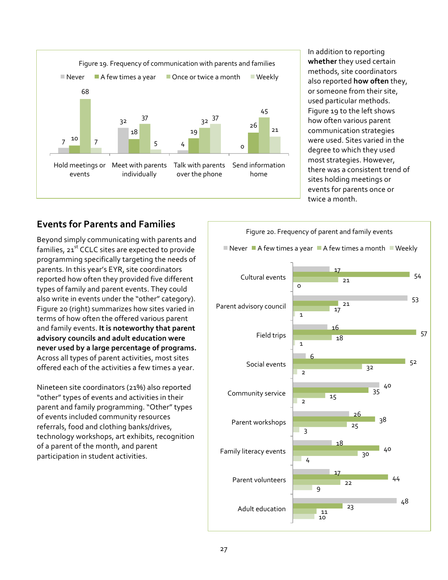

In addition to reporting whether they used certain methods, site coordinators also reported **how often** they, or someone from their site, used particular methods. Figure 19 to the left shows how often various parent communication strategies were used. Sites varied in the degree to which they used most strategies. However, there was a consistent trend of sites holding meetings or events for parents once or twice a month

### **Events for Parents and Families**

Beyond simply communicating with parents and families,  $21<sup>st</sup>$  CCLC sites are expected to provide programming specifically targeting the needs of parents. In this year's EYR, site coordinators reported how often they provided five different types of family and parent events. They could also write in events under the "other" category). Figure 20 (right) summarizes how sites varied in terms of how often the offered various parent and family events. It is noteworthy that parent **advisory!councils!and!adult!education!were!** never used by a large percentage of programs. Across all types of parent activities, most sites offered each of the activities a few times a year.

Nineteen site coordinators (21%) also reported "other" types of events and activities in their parent and family programming. "Other" types of events included community resources referrals, food and clothing banks/drives, technology workshops, art exhibits, recognition of a parent of the month, and parent participation in student activities.

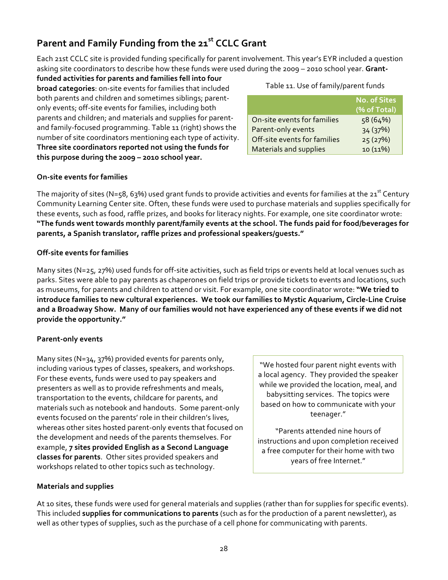### Parent and Family Funding from the 21<sup>st</sup> CCLC Grant

Each 21st CCLC site is provided funding specifically for parent involvement. This year's EYR included a question asking site coordinators to describe how these funds were used during the 2009 - 2010 school year. Grant-

funded activities for parents and families fell into four **broad categories**: on-site events for families that included both parents and children and sometimes siblings; parentonly events; off-site events for families, including both parents and children; and materials and supplies for parentand family-focused programming. Table 11 (right) shows the number of site coordinators mentioning each type of activity. Three site coordinators reported not using the funds for this purpose during the 2009 - 2010 school year.

#### Table 11. Use of family/parent funds

|                               | <b>No. of Sites</b><br>(% of Total) |
|-------------------------------|-------------------------------------|
| On-site events for families   | 58 (64%)                            |
| Parent-only events            | 34 (37%)                            |
| Off-site events for families  | 25(27%)                             |
| <b>Materials and supplies</b> | 10(11%)                             |

#### **On-site events for families**

The majority of sites (N=58, 63%) used grant funds to provide activities and events for families at the 21<sup>st</sup> Century Community Learning Center site. Often, these funds were used to purchase materials and supplies specifically for these events, such as food, raffle prizes, and books for literacy nights. For example, one site coordinator wrote: "The funds went towards monthly parent/family events at the school. The funds paid for food/beverages for parents, a Spanish translator, raffle prizes and professional speakers/guests."

#### **Off-site events for families**

Many sites (N=25, 27%) used funds for off-site activities, such as field trips or events held at local venues such as parks. Sites were able to pay parents as chaperones on field trips or provide tickets to events and locations, such as museums, for parents and children to attend or visit. For example, one site coordinator wrote: "We tried to introduce families to new cultural experiences. We took our families to Mystic Aquarium, Circle-Line Cruise and a Broadway Show. Many of our families would not have experienced any of these events if we did not provide the opportunity."

#### **Parent-only events**

Many sites (N=34, 37%) provided events for parents only, including various types of classes, speakers, and workshops. For these events, funds were used to pay speakers and presenters as well as to provide refreshments and meals, transportation to the events, childcare for parents, and materials such as notebook and handouts. Some parent-only events focused on the parents' role in their children's lives, whereas other sites hosted parent-only events that focused on the development and needs of the parents themselves. For example, **7 sites provided English as a Second Language** classes for parents. Other sites provided speakers and workshops related to other topics such as technology.

"We hosted four parent night events with a local agency. They provided the speaker while we provided the location, meal, and babysitting services. The topics were based on how to communicate with your teenager."

"Parents attended nine hours of instructions and upon completion received a free computer for their home with two years of free Internet."

#### **Materials and supplies**

At 10 sites, these funds were used for general materials and supplies (rather than for supplies for specific events). This included **supplies for communications to parents** (such as for the production of a parent newsletter), as well as other types of supplies, such as the purchase of a cell phone for communicating with parents.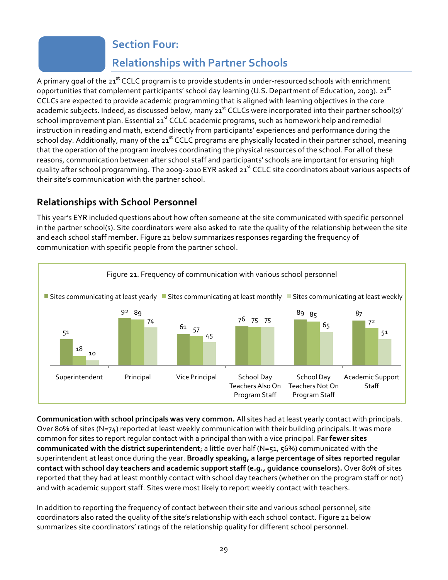## **Section Four:**

## **Relationships with Partner Schools**

<span id="page-28-0"></span>A primary goal of the 21<sup>st</sup> CCLC program is to provide students in under-resourced schools with enrichment opportunities that complement participants' school day learning (U.S. Department of Education, 2003). 21<sup>st</sup> CCLCs are expected to provide academic programming that is aligned with learning objectives in the core academic subjects. Indeed, as discussed below, many 21<sup>st</sup> CCLCs were incorporated into their partner school(s)' school improvement plan. Essential 21<sup>st</sup> CCLC academic programs, such as homework help and remedial instruction in reading and math, extend directly from participants' experiences and performance during the school day. Additionally, many of the 21<sup>st</sup> CCLC programs are physically located in their partner school, meaning that the operation of the program involves coordinating the physical resources of the school. For all of these reasons, communication between after school staff and participants' schools are important for ensuring high quality after school programming. The 2009-2010 EYR asked 21<sup>st</sup> CCLC site coordinators about various aspects of their site's communication with the partner school.

### **Relationships with School Personnel**

This year's EYR included questions about how often someone at the site communicated with specific personnel in the partner school(s). Site coordinators were also asked to rate the quality of the relationship between the site and each school staff member. Figure 21 below summarizes responses regarding the frequency of communication with specific people from the partner school.



**Communication with school principals was very common.** All sites had at least yearly contact with principals. Over 80% of sites (N=74) reported at least weekly communication with their building principals. It was more common for sites to report regular contact with a principal than with a vice principal. Far fewer sites **communicated with the district superintendent**; a little over half (N=51, 56%) communicated with the superintendent at least once during the year. **Broadly speaking, a large percentage of sites reported regular** contact with school day teachers and academic support staff (e.g., guidance counselors). Over 80% of sites reported that they had at least monthly contact with school day teachers (whether on the program staff or not) and with academic support staff. Sites were most likely to report weekly contact with teachers.

In addition to reporting the frequency of contact between their site and various school personnel, site coordinators also rated the quality of the site's relationship with each school contact. Figure 22 below summarizes site coordinators' ratings of the relationship quality for different school personnel.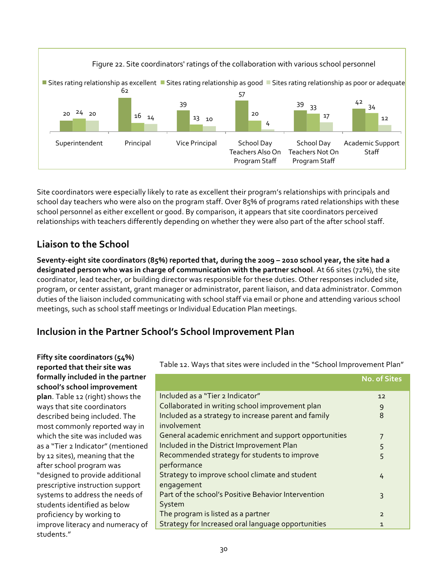

Site coordinators were especially likely to rate as excellent their program's relationships with principals and school day teachers who were also on the program staff. Over 85% of programs rated relationships with these school personnel as either excellent or good. By comparison, it appears that site coordinators perceived relationships with teachers differently depending on whether they were also part of the after school staff.

### **Liaison to the School**

**Seventy-eight site coordinators (85%) reported that, during the 2009 - 2010 school year, the site had a designated person who was in charge of communication with the partner school**. At 66 sites (72%), the site coordinator, lead teacher, or building director was responsible for these duties. Other responses included site, program, or center assistant, grant manager or administrator, parent liaison, and data administrator. Common duties of the liaison included communicating with school staff via email or phone and attending various school meetings, such as school staff meetings or Individual Education Plan meetings.

### **Inclusion in the Partner School's School Improvement Plan**

| Fifty site coordinators (54%)<br>reported that their site was | Table 12. Ways that sites were included in the "School Improvement Plan" |                |  |
|---------------------------------------------------------------|--------------------------------------------------------------------------|----------------|--|
| formally included in the partner                              |                                                                          | No. of Sites   |  |
| school's school improvement                                   |                                                                          |                |  |
| plan. Table 12 (right) shows the                              | Included as a "Tier 2 Indicator"                                         | 12             |  |
| ways that site coordinators                                   | Collaborated in writing school improvement plan                          | 9              |  |
| described being included. The                                 | Included as a strategy to increase parent and family                     | 8              |  |
| most commonly reported way in                                 | involvement                                                              |                |  |
| which the site was included was                               | General academic enrichment and support opportunities                    | 7              |  |
| as a "Tier 2 Indicator" (mentioned                            | Included in the District Improvement Plan                                | 5              |  |
| by 12 sites), meaning that the                                | Recommended strategy for students to improve                             | 5              |  |
| after school program was                                      | performance                                                              |                |  |
| "designed to provide additional                               | Strategy to improve school climate and student                           | 4              |  |
| prescriptive instruction support                              | engagement                                                               |                |  |
| systems to address the needs of                               | Part of the school's Positive Behavior Intervention                      | 3              |  |
| students identified as below                                  | System                                                                   |                |  |
| proficiency by working to                                     | The program is listed as a partner                                       | $\overline{2}$ |  |
| improve literacy and numeracy of                              | Strategy for Increased oral language opportunities                       | 1              |  |
| students."                                                    |                                                                          |                |  |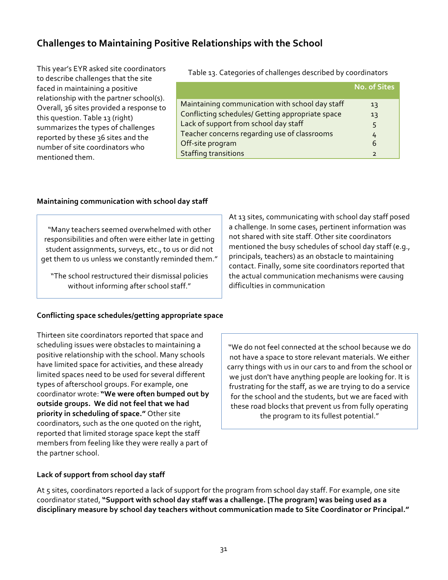### **Challenges to Maintaining Positive Relationships with the School**

This year's EYR asked site coordinators to describe challenges that the site faced in maintaining a positive relationship with the partner school(s). Overall, 36 sites provided a response to this question. Table 13 (right) summarizes the types of challenges reported by these 36 sites and the number of site coordinators who mentioned them.

Table 13. Categories of challenges described by coordinators

|                                                  | <b>No. of Sites</b> |
|--------------------------------------------------|---------------------|
|                                                  |                     |
| Maintaining communication with school day staff  | 13                  |
| Conflicting schedules/ Getting appropriate space | 13                  |
| Lack of support from school day staff            | 5                   |
| Teacher concerns regarding use of classrooms     | 4                   |
| Off-site program                                 | 6                   |
| <b>Staffing transitions</b>                      | $\overline{z}$      |

#### **Maintaining communication with school day staff**

"Many teachers seemed overwhelmed with other responsibilities and often were either late in getting student assignments, surveys, etc., to us or did not get them to us unless we constantly reminded them."

"The school restructured their dismissal policies without informing after school staff."

#### Conflicting space schedules/getting appropriate space

Thirteen site coordinators reported that space and scheduling issues were obstacles to maintaining a positive relationship with the school. Many schools have limited space for activities, and these already limited spaces need to be used for several different types of afterschool groups. For example, one coordinator wrote: "We were often bumped out by outside groups. We did not feel that we had priority in scheduling of space." Other site coordinators, such as the one quoted on the right, reported that limited storage space kept the staff members from feeling like they were really a part of the partner school.

At 13 sites, communicating with school day staff posed a challenge. In some cases, pertinent information was not shared with site staff. Other site coordinators mentioned the busy schedules of school day staff (e.g., principals, teachers) as an obstacle to maintaining contact. Finally, some site coordinators reported that the actual communication mechanisms were causing difficulties in communication

"We do not feel connected at the school because we do not have a space to store relevant materials. We either carry things with us in our cars to and from the school or we just don't have anything people are looking for. It is frustrating for the staff, as we are trying to do a service for the school and the students, but we are faced with these road blocks that prevent us from fully operating the program to its fullest potential."

#### Lack of support from school day staff

At 5 sites, coordinators reported a lack of support for the program from school day staff. For example, one site coordinator stated, "Support with school day staff was a challenge. [The program] was being used as a disciplinary measure by school day teachers without communication made to Site Coordinator or Principal."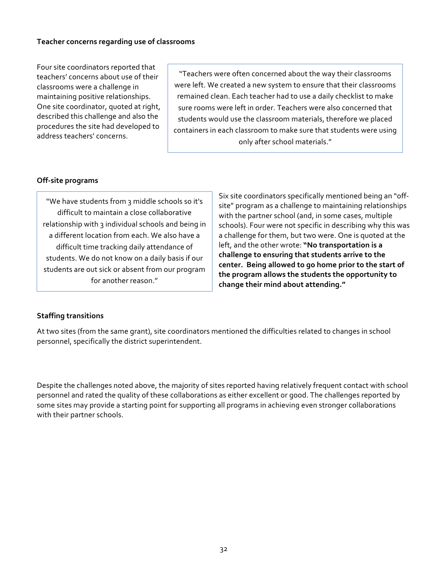Four site coordinators reported that teachers' concerns about use of their classrooms were a challenge in maintaining positive relationships. One site coordinator, quoted at right, described this challenge and also the procedures the site had developed to address teachers' concerns.

"Teachers were often concerned about the way their classrooms were left. We created a new system to ensure that their classrooms remained clean. Each teacher had to use a daily checklist to make sure rooms were left in order. Teachers were also concerned that students would use the classroom materials, therefore we placed containers in each classroom to make sure that students were using only after school materials."

#### **Off-site programs**

"We have students from 3 middle schools so it's difficult to maintain a close collaborative relationship with 3 individual schools and being in a different location from each. We also have a difficult time tracking daily attendance of students. We do not know on a daily basis if our students are out sick or absent from our program for another reason."

Six site coordinators specifically mentioned being an "offsite" program as a challenge to maintaining relationships with the partner school (and, in some cases, multiple schools). Four were not specific in describing why this was a challenge for them, but two were. One is quoted at the left, and the other wrote: "No transportation is a challenge to ensuring that students arrive to the center. Being allowed to go home prior to the start of the program allows the students the opportunity to change their mind about attending."

#### **Staffing transitions**

At two sites (from the same grant), site coordinators mentioned the difficulties related to changes in school personnel, specifically the district superintendent.

Despite the challenges noted above, the majority of sites reported having relatively frequent contact with school personnel and rated the quality of these collaborations as either excellent or good. The challenges reported by some sites may provide a starting point for supporting all programs in achieving even stronger collaborations with their partner schools.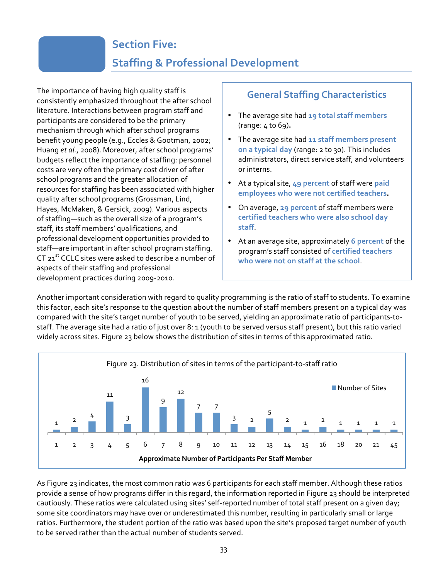## **Section Five:**

## **Staffing & Professional Development**

<span id="page-32-0"></span>The importance of having high quality staff is consistently emphasized throughout the after school literature. Interactions between program staff and participants are considered to be the primary mechanism through which after school programs benefit young people (e.g., Eccles & Gootman, 2002; Huang *et al.*, 2008). Moreover, after school programs' budgets reflect the importance of staffing: personnel costs are very often the primary cost driver of after school programs and the greater allocation of resources for staffing has been associated with higher quality after school programs (Grossman, Lind, Hayes, McMaken, & Gersick, 2009). Various aspects of staffing—such as the overall size of a program's staff, its staff members' qualifications, and professional development opportunities provided to staff-are important in after school program staffing. CT 21<sup>st</sup> CCLC sites were asked to describe a number of aspects of their staffing and professional development practices during 2009-2010.

### **General!Staffing!Characteristics**

- The average site had 19 total staff members (range: 4 to 69).
- The average site had 11 staff members present on a typical day (range: 2 to 30). This includes administrators, direct service staff, and volunteers or interns.
- At a typical site, 49 percent of staff were paid employees who were not certified teachers.
- On average, 29 percent of staff members were certified teachers who were also school day **staff**.
- At an average site, approximately 6 percent of the program's staff consisted of **certified teachers** who were not on staff at the school.

Another important consideration with regard to quality programming is the ratio of staff to students. To examine this factor, each site's response to the question about the number of staff members present on a typical day was compared with the site's target number of youth to be served, yielding an approximate ratio of participants-tostaff. The average site had a ratio of just over 8: 1 (youth to be served versus staff present), but this ratio varied widely across sites. Figure 23 below shows the distribution of sites in terms of this approximated ratio.



As Figure 23 indicates, the most common ratio was 6 participants for each staff member. Although these ratios provide a sense of how programs differ in this regard, the information reported in Figure 23 should be interpreted cautiously. These ratios were calculated using sites' self-reported number of total staff present on a given day; some site coordinators may have over or underestimated this number, resulting in particularly small or large ratios. Furthermore, the student portion of the ratio was based upon the site's proposed target number of youth to be served rather than the actual number of students served.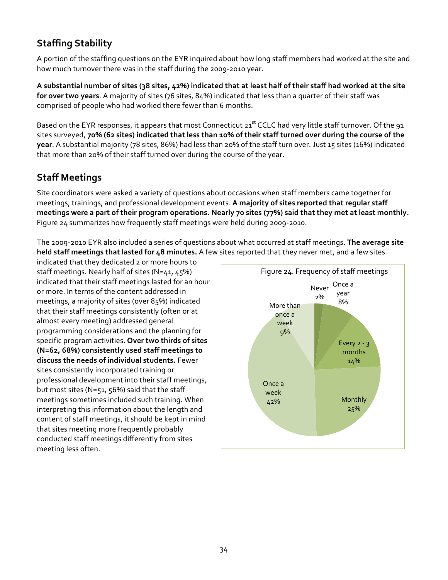### **Staffing Stability**

A portion of the staffing questions on the EYR inquired about how long staff members had worked at the site and how much turnover there was in the staff during the 2009-2010 year.

A substantial number of sites (38 sites, 42%) indicated that at least half of their staff had worked at the site for over two years. A majority of sites (76 sites, 84%) indicated that less than a quarter of their staff was comprised of people who had worked there fewer than 6 months.

Based on the EYR responses, it appears that most Connecticut 21<sup>st</sup> CCLC had very little staff turnover. Of the 91 sites surveyed, 70% (62 sites) indicated that less than 10% of their staff turned over during the course of the year. A substantial majority (78 sites, 86%) had less than 20% of the staff turn over. Just 15 sites (16%) indicated that more than 20% of their staff turned over during the course of the year.

### **Staff Meetings**

Site coordinators were asked a variety of questions about occasions when staff members came together for meetings, trainings, and professional development events. A majority of sites reported that regular staff meetings were a part of their program operations. Nearly 70 sites (77%) said that they met at least monthly. Figure 24 summarizes how frequently staff meetings were held during 2009-2010.

The 2009-2010 EYR also included a series of questions about what occurred at staff meetings. The average site **held staff meetings that lasted for 48 minutes.** A few sites reported that they never met, and a few sites

indicated that they dedicated 2 or more hours to staff meetings. Nearly half of sites (N=41, 45%) indicated that their staff meetings lasted for an hour or more. In terms of the content addressed in meetings, a majority of sites (over 85%) indicated that their staff meetings consistently (often or at almost every meeting) addressed general programming considerations and the planning for specific program activities. Over two thirds of sites **(N=62, 68%) consistently used staff meetings to** discuss the needs of individual students. Fewer sites consistently incorporated training or professional development into their staff meetings, but most sites (N=51,  $56%$ ) said that the staff meetings sometimes included such training. When interpreting this information about the length and content of staff meetings, it should be kept in mind that sites meeting more frequently probably conducted staff meetings differently from sites meeting less often.

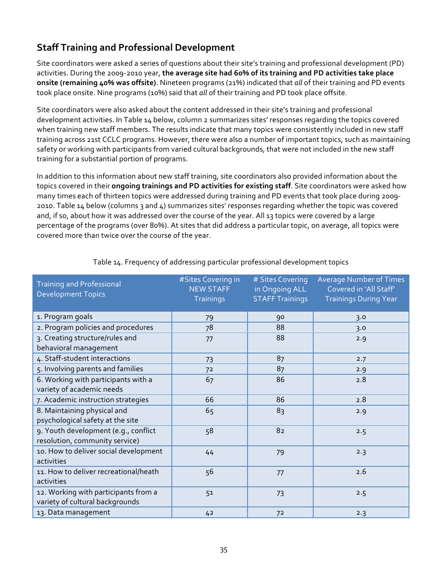### **Staff Training and Professional Development**

Site coordinators were asked a series of questions about their site's training and professional development (PD) activities. During the 2009-2010 year, the average site had 60% of its training and PD activities take place **onsite (remaining 40% was offsite)**. Nineteen programs (21%) indicated that *all* of their training and PD events took place onsite. Nine programs (10%) said that *all* of their training and PD took place offsite.

Site coordinators were also asked about the content addressed in their site's training and professional development activities. In Table 14 below, column 2 summarizes sites' responses regarding the topics covered when training new staff members. The results indicate that many topics were consistently included in new staff training across 21st CCLC programs. However, there were also a number of important topics, such as maintaining safety or working with participants from varied cultural backgrounds, that were not included in the new staff training for a substantial portion of programs.

In addition to this information about new staff training, site coordinators also provided information about the topics covered in their **ongoing trainings and PD activities for existing staff**. Site coordinators were asked how many times each of thirteen topics were addressed during training and PD events that took place during 2009-2010. Table 14 below (columns 3 and 4) summarizes sites' responses regarding whether the topic was covered and, if so, about how it was addressed over the course of the year. All 13 topics were covered by a large percentage of the programs (over 80%). At sites that did address a particular topic, on average, all topics were covered more than twice over the course of the year.

| <b>Training and Professional</b><br><b>Development Topics</b>           | #Sites Covering in<br><b>NEW STAFF</b><br><b>Trainings</b> | # Sites Covering<br>in Ongoing ALL<br><b>STAFF Trainings</b> | <b>Average Number of Times</b><br>Covered in 'All Staff'<br><b>Trainings During Year</b> |
|-------------------------------------------------------------------------|------------------------------------------------------------|--------------------------------------------------------------|------------------------------------------------------------------------------------------|
| 1. Program goals                                                        | 79                                                         | 90                                                           | 3.0                                                                                      |
| 2. Program policies and procedures                                      | 78                                                         | 88                                                           | 3.0                                                                                      |
| 3. Creating structure/rules and<br>behavioral management                | 77                                                         | 88                                                           | 2.9                                                                                      |
| 4. Staff-student interactions                                           | 73                                                         | 87                                                           | 2.7                                                                                      |
| 5. Involving parents and families                                       | 72                                                         | 87                                                           | 2.9                                                                                      |
| 6. Working with participants with a<br>variety of academic needs        | 67                                                         | 86                                                           | 2.8                                                                                      |
| 7. Academic instruction strategies                                      | 66                                                         | 86                                                           | 2.8                                                                                      |
| 8. Maintaining physical and<br>psychological safety at the site         | 65                                                         | 83                                                           | 2.9                                                                                      |
| 9. Youth development (e.g., conflict<br>resolution, community service)  | 58                                                         | 82                                                           | 2.5                                                                                      |
| 10. How to deliver social development<br>activities                     | 44                                                         | 79                                                           | 2.3                                                                                      |
| 11. How to deliver recreational/heath<br>activities                     | 56                                                         | 77                                                           | 2.6                                                                                      |
| 12. Working with participants from a<br>variety of cultural backgrounds | 51                                                         | 73                                                           | 2.5                                                                                      |
| 13. Data management                                                     | 42                                                         | 72                                                           | 2.3                                                                                      |

#### Table 14. Frequency of addressing particular professional development topics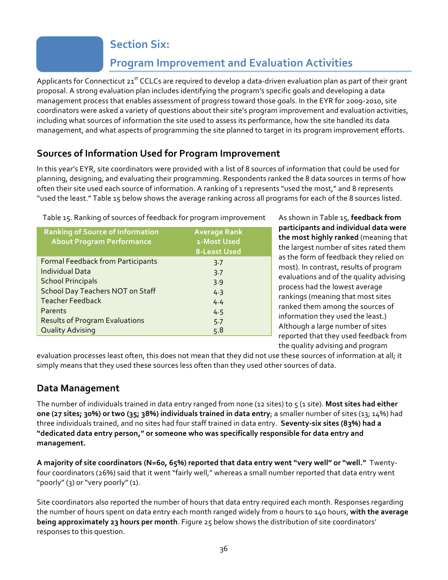### **Section Six:**

## **Program!Improvement!and!Evaluation!Activities**

<span id="page-35-0"></span>Applicants for Connecticut  $21^{st}$  CCLCs are required to develop a data-driven evaluation plan as part of their grant proposal. A strong evaluation plan includes identifying the program's specific goals and developing a data management process that enables assessment of progress toward those goals. In the EYR for 2009-2010, site coordinators were asked a variety of questions about their site's program improvement and evaluation activities, including what sources of information the site used to assess its performance, how the site handled its data management, and what aspects of programming the site planned to target in its program improvement efforts.

### **Sources of Information Used for Program Improvement**

In this year's EYR, site coordinators were provided with a list of 8 sources of information that could be used for planning, designing, and evaluating their programming. Respondents ranked the 8 data sources in terms of how often their site used each source of information. A ranking of 1 represents "used the most," and 8 represents "used the least." Table 15 below shows the average ranking across all programs for each of the 8 sources listed.

| Table 15. Ranking of sources of feedback for program improvement                                                                                                                                                                             |                                                           |  |  |  |
|----------------------------------------------------------------------------------------------------------------------------------------------------------------------------------------------------------------------------------------------|-----------------------------------------------------------|--|--|--|
| <b>Ranking of Source of Information</b><br><b>About Program Performance</b>                                                                                                                                                                  | <b>Average Rank</b><br>1-Most Used<br><b>8-Least Used</b> |  |  |  |
| <b>Formal Feedback from Participants</b><br><b>Individual Data</b><br><b>School Principals</b><br><b>School Day Teachers NOT on Staff</b><br><b>Teacher Feedback</b><br>Parents<br><b>Results of Program Evaluations</b><br>Quality Advising | 3.7<br>3.7<br>3.9<br>4.3<br>4.4<br>4.5<br>5.7             |  |  |  |
|                                                                                                                                                                                                                                              | 5.8                                                       |  |  |  |

As shown in Table 15, feedback from **participants!and!individual!data!were!** the most highly ranked (meaning that the largest number of sites rated them as the form of feedback they relied on most). In contrast, results of program evaluations and of the quality advising process had the lowest average rankings (meaning that most sites ranked them among the sources of information they used the least.) Although a large number of sites reported that they used feedback from the quality advising and program

evaluation processes least often, this does not mean that they did not use these sources of information at all; it simply means that they used these sources less often than they used other sources of data.

### **Data!Management**

The number of individuals trained in data entry ranged from none (12 sites) to 5 (1 site). **Most sites had either one (27 sites; 30%) or two (35; 38%) individuals trained in data entry;** a smaller number of sites (13; 14%) had three individuals trained, and no sites had four staff trained in data entry. Seventy-six sites (83%) had a "dedicated data entry person," or someone who was specifically responsible for data entry and **management.**

A majority of site coordinators (N=60, 65%) reported that data entry went "very well" or "well." Twentyfour coordinators (26%) said that it went "fairly well," whereas a small number reported that data entry went "poorly" (3) or "very poorly" (1).

Site coordinators also reported the number of hours that data entry required each month. Responses regarding the number of hours spent on data entry each month ranged widely from o hours to 140 hours, with the average **being approximately 23 hours per month**. Figure 25 below shows the distribution of site coordinators' responses to this question.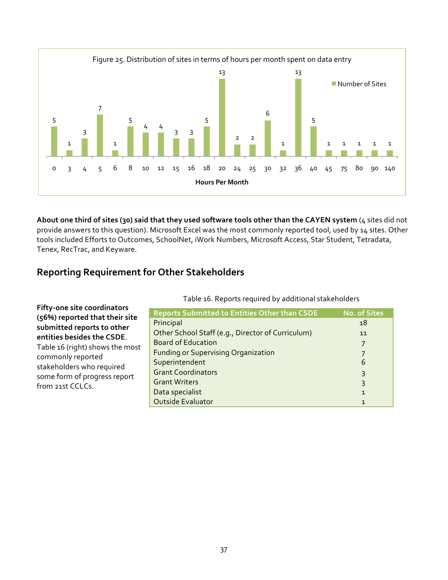

About one third of sites (30) said that they used software tools other than the CAYEN system (4 sites did not provide answers to this question). Microsoft Excel was the most commonly reported tool, used by 14 sites. Other tools included Efforts to Outcomes, SchoolNet, iWork Numbers, Microsoft Access, Star Student, Tetradata, Tenex, RecTrac, and Keyware.

### **Reporting!Requirement!for!Other!Stakeholders**

|                                                              | Table 10. Reports required by additional stakeholders |                     |
|--------------------------------------------------------------|-------------------------------------------------------|---------------------|
| Fifty-one site coordinators                                  | <b>Reports Submitted to Entities Other than CSDE</b>  | <b>No. of Sites</b> |
| (56%) reported that their site<br>submitted reports to other | Principal                                             | 18                  |
| entities besides the CSDE.                                   | Other School Staff (e.g., Director of Curriculum)     | 11                  |
| Table 16 (right) shows the most                              | <b>Board of Education</b>                             |                     |
| commonly reported                                            | <b>Funding or Supervising Organization</b>            |                     |
| stakeholders who required                                    | Superintendent                                        | 6                   |
| some form of progress report                                 | <b>Grant Coordinators</b>                             | 3                   |
| from 21st CCLCs.                                             | <b>Grant Writers</b>                                  | 3                   |
|                                                              | Data specialist<br>Outside Evaluator                  | $\mathbf{1}$        |
|                                                              |                                                       |                     |

Table 16. Reports required by additional stakeholders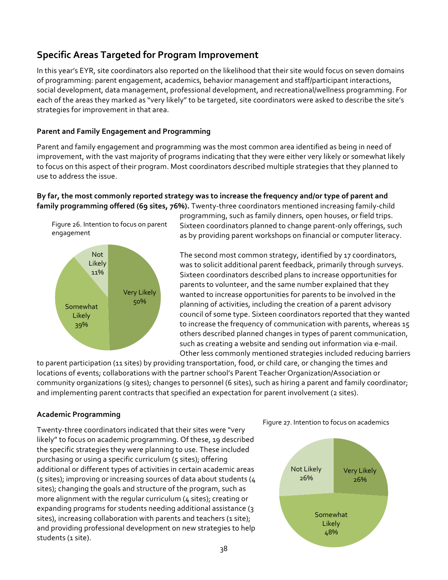### **Specific!Areas!Targeted!for!Program!Improvement**

In this year's EYR, site coordinators also reported on the likelihood that their site would focus on seven domains of programming: parent engagement, academics, behavior management and staff/participant interactions, social development, data management, professional development, and recreational/wellness programming. For each of the areas they marked as "very likely" to be targeted, site coordinators were asked to describe the site's strategies for improvement in that area.

#### **Parent and Family Engagement and Programming**

Parent and family engagement and programming was the most common area identified as being in need of improvement, with the vast majority of programs indicating that they were either very likely or somewhat likely to focus on this aspect of their program. Most coordinators described multiple strategies that they planned to use to address the issue.

#### By far, the most commonly reported strategy was to increase the frequency and/or type of parent and family programming offered (69 sites, 76%). Twenty-three coordinators mentioned increasing family-child





programming, such as family dinners, open houses, or field trips. Sixteen coordinators planned to change parent-only offerings, such as by providing parent workshops on financial or computer literacy.

The second most common strategy, identified by 17 coordinators, was to solicit additional parent feedback, primarily through surveys. Sixteen coordinators described plans to increase opportunities for parents to volunteer, and the same number explained that they wanted to increase opportunities for parents to be involved in the planning of activities, including the creation of a parent advisory council of some type. Sixteen coordinators reported that they wanted to increase the frequency of communication with parents, whereas 15 others described planned changes in types of parent communication, such as creating a website and sending out information via e-mail. Other less commonly mentioned strategies included reducing barriers

to parent participation (11 sites) by providing transportation, food, or child care, or changing the times and locations of events; collaborations with the partner school's Parent Teacher Organization/Association or community organizations (9 sites); changes to personnel (6 sites), such as hiring a parent and family coordinator; and implementing parent contracts that specified an expectation for parent involvement (2 sites).

#### **Academic!Programming**

Twenty-three coordinators indicated that their sites were "very likely" to focus on academic programming. Of these, 19 described the specific strategies they were planning to use. These included purchasing or using a specific curriculum (5 sites); offering additional or different types of activities in certain academic areas (5 sites); improving or increasing sources of data about students ( $4$ sites); changing the goals and structure of the program, such as more alignment with the regular curriculum ( $4$  sites); creating or expanding programs for students needing additional assistance (3) sites), increasing collaboration with parents and teachers (1 site); and providing professional development on new strategies to help students (1 site).



Figure 27. Intention to focus on academics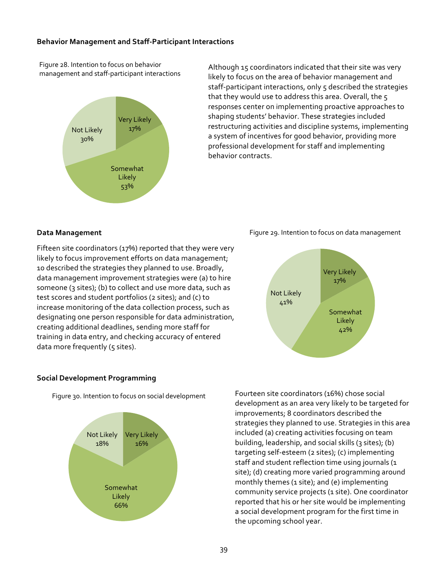#### **Behavior Management and Staff-Participant Interactions**

Figure 28. Intention to focus on behavior management and staff-participant interactions



Although 15 coordinators indicated that their site was very likely to focus on the area of behavior management and staff-participant interactions, only 5 described the strategies that they would use to address this area. Overall, the  $5$ responses center on implementing proactive approaches to shaping students' behavior. These strategies included restructuring activities and discipline systems, implementing a system of incentives for good behavior, providing more professional development for staff and implementing behavior contracts.

#### **Data!Management**

Fifteen site coordinators (17%) reported that they were very likely to focus improvement efforts on data management; 10 described the strategies they planned to use. Broadly, data management improvement strategies were (a) to hire someone (3 sites); (b) to collect and use more data, such as test scores and student portfolios (2 sites); and (c) to increase monitoring of the data collection process, such as designating one person responsible for data administration, creating additional deadlines, sending more staff for training in data entry, and checking accuracy of entered data more frequently (5 sites).





#### **Social!Development!Programming**

Figure 30. Intention to focus on social development



Fourteen site coordinators (16%) chose social development as an area very likely to be targeted for improvements; 8 coordinators described the strategies they planned to use. Strategies in this area included (a) creating activities focusing on team building, leadership, and social skills (3 sites); (b) targeting self-esteem (2 sites); (c) implementing staff and student reflection time using journals (1 site); (d) creating more varied programming around monthly themes (1 site); and (e) implementing community service projects (1 site). One coordinator reported that his or her site would be implementing a social development program for the first time in the upcoming school year.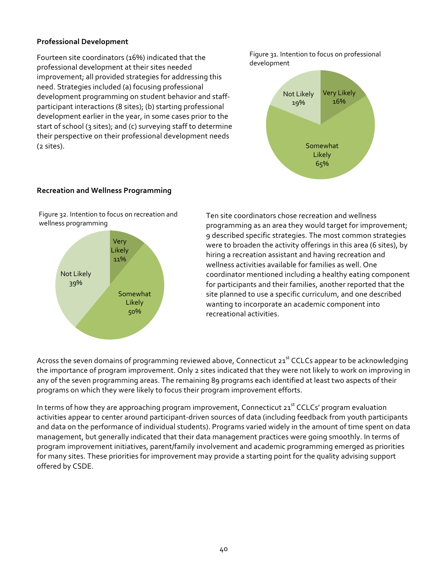#### **Professional!Development**

Fourteen site coordinators (16%) indicated that the professional development at their sites needed improvement; all provided strategies for addressing this need. Strategies included (a) focusing professional development programming on student behavior and staffparticipant interactions (8 sites); (b) starting professional development earlier in the year, in some cases prior to the start of school (3 sites); and (c) surveying staff to determine their perspective on their professional development needs  $(z \text{ sites}).$ 

Figure 31. Intention to focus on professional development!



#### **Recreation!and!Wellness!Programming**





Ten site coordinators chose recreation and wellness programming as an area they would target for improvement; 9 described specific strategies. The most common strategies were to broaden the activity offerings in this area (6 sites), by hiring a recreation assistant and having recreation and wellness activities available for families as well. One coordinator mentioned including a healthy eating component for participants and their families, another reported that the site planned to use a specific curriculum, and one described wanting to incorporate an academic component into recreational activities.

Across the seven domains of programming reviewed above, Connecticut 21st CCLCs appear to be acknowledging the importance of program improvement. Only 2 sites indicated that they were not likely to work on improving in any of the seven programming areas. The remaining 89 programs each identified at least two aspects of their programs on which they were likely to focus their program improvement efforts.

In terms of how they are approaching program improvement, Connecticut  $21<sup>st</sup> CCLCs'$  program evaluation activities appear to center around participant-driven sources of data (including feedback from youth participants and data on the performance of individual students). Programs varied widely in the amount of time spent on data management, but generally indicated that their data management practices were going smoothly. In terms of program improvement initiatives, parent/family involvement and academic programming emerged as priorities for many sites. These priorities for improvement may provide a starting point for the quality advising support offered by CSDE.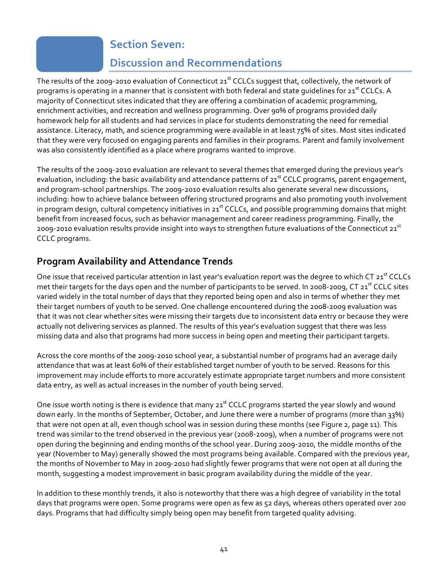### **Section Seven:**

### **Discussion!and!Recommendations**

<span id="page-40-0"></span>The results of the 2009-2010 evaluation of Connecticut  $21<sup>st</sup>$  CCLCs suggest that, collectively, the network of programs is operating in a manner that is consistent with both federal and state guidelines for 21<sup>st</sup> CCLCs. A majority of Connecticut sites indicated that they are offering a combination of academic programming, enrichment activities, and recreation and wellness programming. Over 90% of programs provided daily homework help for all students and had services in place for students demonstrating the need for remedial assistance. Literacy, math, and science programming were available in at least 75% of sites. Most sites indicated that they were very focused on engaging parents and families in their programs. Parent and family involvement was also consistently identified as a place where programs wanted to improve.

The results of the 2009-2010 evaluation are relevant to several themes that emerged during the previous year's evaluation, including: the basic availability and attendance patterns of 21<sup>st</sup> CCLC programs, parent engagement, and program-school partnerships. The 2009-2010 evaluation results also generate several new discussions, including: how to achieve balance between offering structured programs and also promoting youth involvement in program design, cultural competency initiatives in  $21<sup>st</sup>$  CCLCs, and possible programming domains that might benefit from increased focus, such as behavior management and career readiness programming. Finally, the 2009-2010 evaluation results provide insight into ways to strengthen future evaluations of the Connecticut 21st CCLC programs.

### **Program Availability and Attendance Trends**

One issue that received particular attention in last year's evaluation report was the degree to which CT 21st CCLCs met their targets for the days open and the number of participants to be served. In 2008-2009, CT 21st CCLC sites varied widely in the total number of days that they reported being open and also in terms of whether they met their target numbers of youth to be served. One challenge encountered during the 2008-2009 evaluation was that it was not clear whether sites were missing their targets due to inconsistent data entry or because they were actually not delivering services as planned. The results of this year's evaluation suggest that there was less missing data and also that programs had more success in being open and meeting their participant targets.

Across the core months of the 2009-2010 school year, a substantial number of programs had an average daily attendance that was at least 60% of their established target number of youth to be served. Reasons for this improvement may include efforts to more accurately estimate appropriate target numbers and more consistent data entry, as well as actual increases in the number of youth being served.

One issue worth noting is there is evidence that many  $21^{st}$  CCLC programs started the year slowly and wound down early. In the months of September, October, and June there were a number of programs (more than 33%) that were not open at all, even though school was in session during these months (see Figure 2, page 11). This trend was similar to the trend observed in the previous year (2008-2009), when a number of programs were not open during the beginning and ending months of the school year. During 2009-2010, the middle months of the year (November to May) generally showed the most programs being available. Compared with the previous year, the months of November to May in 2009-2010 had slightly fewer programs that were not open at all during the month, suggesting a modest improvement in basic program availability during the middle of the year.

In addition to these monthly trends, it also is noteworthy that there was a high degree of variability in the total days that programs were open. Some programs were open as few as 52 days, whereas others operated over 200 days. Programs that had difficulty simply being open may benefit from targeted quality advising.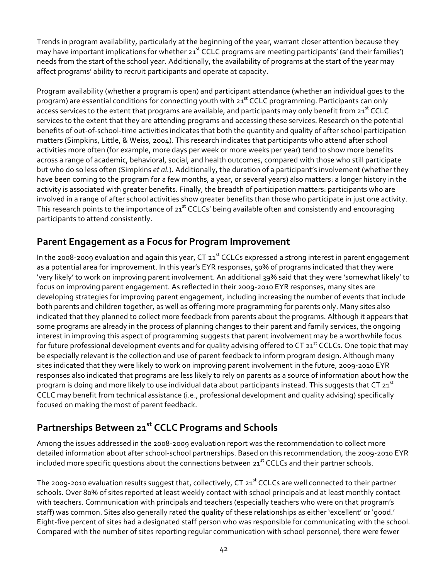Trends in program availability, particularly at the beginning of the year, warrant closer attention because they may have important implications for whether  $21<sup>st</sup>$  CCLC programs are meeting participants' (and their families') needs from the start of the school year. Additionally, the availability of programs at the start of the year may affect programs' ability to recruit participants and operate at capacity.

Program availability (whether a program is open) and participant attendance (whether an individual goes to the program) are essential conditions for connecting youth with 21<sup>st</sup> CCLC programming. Participants can only access services to the extent that programs are available, and participants may only benefit from 21<sup>st</sup> CCLC services to the extent that they are attending programs and accessing these services. Research on the potential benefits of out-of-school-time activities indicates that both the quantity and quality of after school participation matters (Simpkins, Little, & Weiss, 2004). This research indicates that participants who attend after school activities more often (for example, more days per week or more weeks per year) tend to show more benefits across a range of academic, behavioral, social, and health outcomes, compared with those who still participate but who do so less often (Simpkins *et al.*). Additionally, the duration of a participant's involvement (whether they have been coming to the program for a few months, a year, or several years) also matters: a longer history in the activity is associated with greater benefits. Finally, the breadth of participation matters: participants who are involved in a range of after school activities show greater benefits than those who participate in just one activity. This research points to the importance of  $21<sup>st</sup>$  CCLCs' being available often and consistently and encouraging participants to attend consistently.

### Parent Engagement as a Focus for Program Improvement

In the 2008-2009 evaluation and again this year,  $CT 21<sup>st</sup> CCLCs$  expressed a strong interest in parent engagement as a potential area for improvement. In this year's EYR responses, 50% of programs indicated that they were 'very likely' to work on improving parent involvement. An additional 39% said that they were 'somewhat likely' to focus on improving parent engagement. As reflected in their 2009-2010 EYR responses, many sites are developing strategies for improving parent engagement, including increasing the number of events that include both parents and children together, as well as offering more programming for parents only. Many sites also indicated that they planned to collect more feedback from parents about the programs. Although it appears that some programs are already in the process of planning changes to their parent and family services, the ongoing interest in improving this aspect of programming suggests that parent involvement may be a worthwhile focus for future professional development events and for quality advising offered to CT  $21<sup>st</sup>$  CCLCs. One topic that may be especially relevant is the collection and use of parent feedback to inform program design. Although many sites indicated that they were likely to work on improving parent involvement in the future, 2009-2010 EYR responses also indicated that programs are less likely to rely on parents as a source of information about how the program is doing and more likely to use individual data about participants instead. This suggests that  $CT 21^{st}$ CCLC may benefit from technical assistance (i.e., professional development and quality advising) specifically focused on making the most of parent feedback.

### Partnerships Between 21<sup>st</sup> CCLC Programs and Schools

Among the issues addressed in the 2008-2009 evaluation report was the recommendation to collect more detailed information about after school-school partnerships. Based on this recommendation, the 2009-2010 EYR included more specific questions about the connections between  $21<sup>st</sup>$  CCLCs and their partner schools.

The 2009-2010 evaluation results suggest that, collectively, CT 21st CCLCs are well connected to their partner schools. Over 80% of sites reported at least weekly contact with school principals and at least monthly contact with teachers. Communication with principals and teachers (especially teachers who were on that program's staff) was common. Sites also generally rated the quality of these relationships as either 'excellent' or 'good.' Eight-five percent of sites had a designated staff person who was responsible for communicating with the school. Compared with the number of sites reporting regular communication with school personnel, there were fewer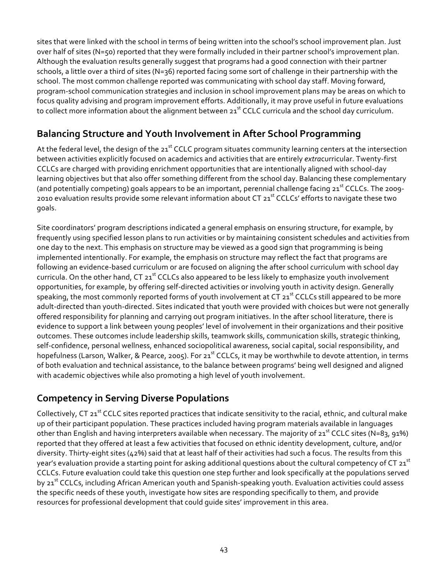sites that were linked with the school in terms of being written into the school's school improvement plan. Just over half of sites (N=50) reported that they were formally included in their partner school's improvement plan. Although the evaluation results generally suggest that programs had a good connection with their partner schools, a little over a third of sites (N=36) reported facing some sort of challenge in their partnership with the school. The most common challenge reported was communicating with school day staff. Moving forward, program-school communication strategies and inclusion in school improvement plans may be areas on which to focus quality advising and program improvement efforts. Additionally, it may prove useful in future evaluations to collect more information about the alignment between 21st CCLC curricula and the school day curriculum.

### **Balancing Structure and Youth Involvement in After School Programming**

At the federal level, the design of the 21<sup>st</sup> CCLC program situates community learning centers at the intersection between activities explicitly focused on academics and activities that are entirely *extracurricular*. Twenty-first CCLCs are charged with providing enrichment opportunities that are intentionally aligned with school-day learning objectives but that also offer something different from the school day. Balancing these complementary (and potentially competing) goals appears to be an important, perennial challenge facing 21<sup>st</sup> CCLCs. The 2009-2010 evaluation results provide some relevant information about CT 21<sup>st</sup> CCLCs' efforts to navigate these two goals.

Site coordinators' program descriptions indicated a general emphasis on ensuring structure, for example, by frequently using specified lesson plans to run activities or by maintaining consistent schedules and activities from one day to the next. This emphasis on structure may be viewed as a good sign that programming is being implemented intentionally. For example, the emphasis on structure may reflect the fact that programs are following an evidence-based curriculum or are focused on aligning the after school curriculum with school day curricula. On the other hand, CT  $21<sup>st</sup>$  CCLCs also appeared to be less likely to emphasize youth involvement opportunities, for example, by offering self-directed activities or involving youth in activity design. Generally speaking, the most commonly reported forms of youth involvement at CT 21st CCLCs still appeared to be more adult-directed than youth-directed. Sites indicated that youth were provided with choices but were not generally offered responsibility for planning and carrying out program initiatives. In the after school literature, there is evidence to support a link between young peoples' level of involvement in their organizations and their positive outcomes. These outcomes include leadership skills, teamwork skills, communication skills, strategic thinking, self-confidence, personal wellness, enhanced sociopolitical awareness, social capital, social responsibility, and hopefulness (Larson, Walker, & Pearce, 2005). For 21<sup>st</sup> CCLCs, it may be worthwhile to devote attention, in terms of both evaluation and technical assistance, to the balance between programs' being well designed and aligned with academic objectives while also promoting a high level of youth involvement.

### **Competency in Serving Diverse Populations**

Collectively, CT 21<sup>st</sup> CCLC sites reported practices that indicate sensitivity to the racial, ethnic, and cultural make up of their participant population. These practices included having program materials available in languages other than English and having interpreters available when necessary. The majority of  $21^{st}$  CCLC sites (N=83, 91%) reported that they offered at least a few activities that focused on ethnic identity development, culture, and/or diversity. Thirty-eight sites (42%) said that at least half of their activities had such a focus. The results from this year's evaluation provide a starting point for asking additional questions about the cultural competency of CT 21st CCLCs. Future evaluation could take this question one step further and look specifically at the populations served by 21<sup>st</sup> CCLCs, including African American youth and Spanish-speaking youth. Evaluation activities could assess the specific needs of these youth, investigate how sites are responding specifically to them, and provide resources for professional development that could quide sites' improvement in this area.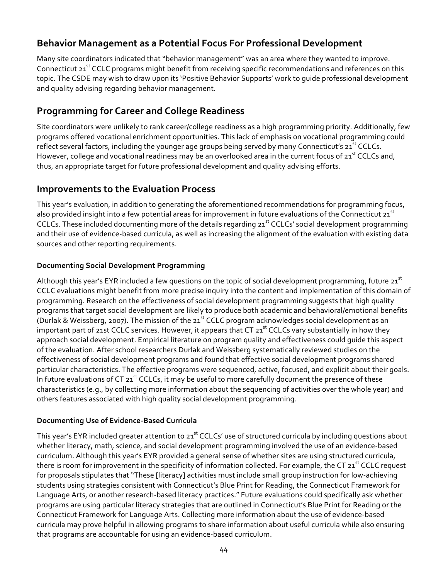### **Behavior Management as a Potential Focus For Professional Development**

Many site coordinators indicated that "behavior management" was an area where they wanted to improve. Connecticut 21<sup>st</sup> CCLC programs might benefit from receiving specific recommendations and references on this topic. The CSDE may wish to draw upon its 'Positive Behavior Supports' work to guide professional development and quality advising regarding behavior management.

### **Programming for Career and College Readiness**

Site coordinators were unlikely to rank career/college readiness as a high programming priority. Additionally, few programs offered vocational enrichment opportunities. This lack of emphasis on vocational programming could reflect several factors, including the younger age groups being served by many Connecticut's 21<sup>st</sup> CCLCs. However, college and vocational readiness may be an overlooked area in the current focus of 21<sup>st</sup> CCLCs and, thus, an appropriate target for future professional development and quality advising efforts.

### **Improvements to the Evaluation Process**

This year's evaluation, in addition to generating the aforementioned recommendations for programming focus, also provided insight into a few potential areas for improvement in future evaluations of the Connecticut 21<sup>st</sup> CCLCs. These included documenting more of the details regarding 21<sup>st</sup> CCLCs' social development programming and their use of evidence-based curricula, as well as increasing the alignment of the evaluation with existing data sources and other reporting requirements.

#### **Documenting!Social!Development!Programming**

Although this year's EYR included a few questions on the topic of social development programming, future 21<sup>st</sup> CCLC evaluations might benefit from more precise inquiry into the content and implementation of this domain of programming. Research on the effectiveness of social development programming suggests that high quality programs that target social development are likely to produce both academic and behavioral/emotional benefits (Durlak & Weissberg, 2007). The mission of the  $21<sup>st</sup> CCLC$  program acknowledges social development as an important part of 21st CCLC services. However, it appears that CT  $21^{st}$  CCLCs vary substantially in how they approach social development. Empirical literature on program quality and effectiveness could quide this aspect of the evaluation. After school researchers Durlak and Weissberg systematically reviewed studies on the effectiveness of social development programs and found that effective social development programs shared particular characteristics. The effective programs were sequenced, active, focused, and explicit about their goals. In future evaluations of CT  $21^{st}$  CCLCs, it may be useful to more carefully document the presence of these characteristics (e.g., by collecting more information about the sequencing of activities over the whole year) and others features associated with high quality social development programming.

#### **Documenting Use of Evidence-Based Curricula**

This year's EYR included greater attention to 21<sup>st</sup> CCLCs' use of structured curricula by including questions about whether literacy, math, science, and social development programming involved the use of an evidence-based curriculum. Although this year's EYR provided a general sense of whether sites are using structured curricula, there is room for improvement in the specificity of information collected. For example, the CT  $21^{st}$  CCLC request for proposals stipulates that "These [literacy] activities must include small group instruction for low-achieving students using strategies consistent with Connecticut's Blue Print for Reading, the Connecticut Framework for Language Arts, or another research-based literacy practices." Future evaluations could specifically ask whether programs are using particular literacy strategies that are outlined in Connecticut's Blue Print for Reading or the Connecticut Framework for Language Arts. Collecting more information about the use of evidence-based curricula may prove helpful in allowing programs to share information about useful curricula while also ensuring that programs are accountable for using an evidence-based curriculum.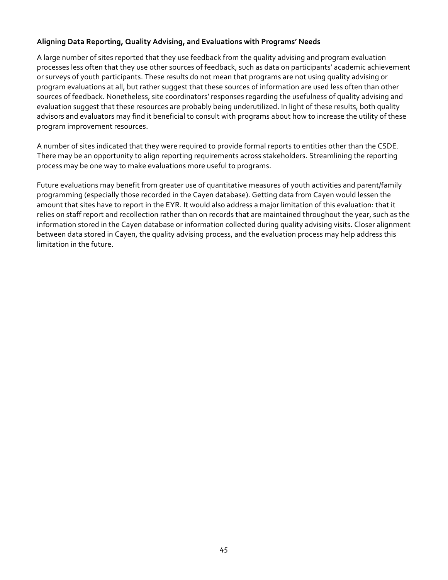#### Aligning Data Reporting, Quality Advising, and Evaluations with Programs' Needs

A large number of sites reported that they use feedback from the quality advising and program evaluation processes less often that they use other sources of feedback, such as data on participants' academic achievement or surveys of youth participants. These results do not mean that programs are not using quality advising or program evaluations at all, but rather suggest that these sources of information are used less often than other sources of feedback. Nonetheless, site coordinators' responses regarding the usefulness of quality advising and evaluation suggest that these resources are probably being underutilized. In light of these results, both quality advisors and evaluators may find it beneficial to consult with programs about how to increase the utility of these program improvement resources.

A number of sites indicated that they were required to provide formal reports to entities other than the CSDE. There may be an opportunity to align reporting requirements across stakeholders. Streamlining the reporting process may be one way to make evaluations more useful to programs.

Future evaluations may benefit from greater use of quantitative measures of youth activities and parent/family programming (especially those recorded in the Cayen database). Getting data from Cayen would lessen the amount that sites have to report in the EYR. It would also address a major limitation of this evaluation: that it relies on staff report and recollection rather than on records that are maintained throughout the year, such as the information stored in the Cayen database or information collected during quality advising visits. Closer alignment between data stored in Cayen, the quality advising process, and the evaluation process may help address this limitation in the future.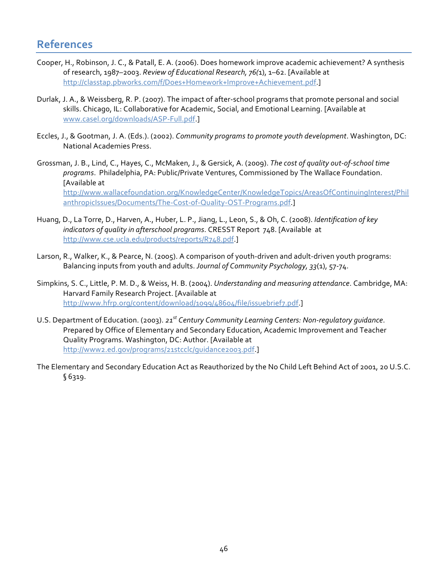### <span id="page-45-0"></span>**References**

- Cooper, H., Robinson, J. C., & Patall, E. A. (2006). Does homework improve academic achievement? A synthesis of research, 1987–2003. *Review of Educational Research, 76(1)*, 1–62. [Available at http://classtap.pbworks.com/f/Does+Homework+Improve+Achievement.pdf.]
- Durlak, J. A., & Weissberg, R. P. (2007). The impact of after-school programs that promote personal and social skills. Chicago, IL: Collaborative for Academic, Social, and Emotional Learning. [Available at www.casel.org/downloads/ASP-Full.pdf.]
- Eccles, J., & Gootman, J. A. (Eds.). (2002). *Community programs to promote youth development*. Washington, DC: National Academies Press.
- Grossman, J. B., Lind, C., Hayes, C., McMaken, J., & Gersick, A. (2009). *The cost of quality out-of-school time* programs. Philadelphia, PA: Public/Private Ventures, Commissioned by The Wallace Foundation. [Available at] http://www.wallacefoundation.org/KnowledgeCenter/KnowledgeTopics/AreasOfContinuingInterest/Phil anthropicIssues/Documents/The-Cost-of-Quality-OST-Programs.pdf.]
- Huang, D., La Torre, D., Harven, A., Huber, L. P., Jiang, L., Leon, S., & Oh, C. (2008). *Identification of key indicators of quality in afterschool programs.* CRESST Report 748. [Available at http://www.cse.ucla.edu/products/reports/R748.pdf.]!
- Larson, R., Walker, K., & Pearce, N. (2005). A comparison of youth-driven and adult-driven youth programs: Balancing inputs from youth and adults. *Journal of Community Psychology*, 33(1), 57-74.
- Simpkins, S. C., Little, P. M. D., & Weiss, H. B. (2004). *Understanding and measuring attendance*. Cambridge, MA: Harvard Family Research Project. [Available at http://www.hfrp.org/content/download/1099/48604/file/issuebrief7.pdf.]
- U.S. Department of Education. (2003). 21<sup>st</sup> Century Community Learning Centers: Non-regulatory guidance. Prepared by Office of Elementary and Secondary Education, Academic Improvement and Teacher Quality Programs. Washington, DC: Author. [Available at http://www2.ed.gov/programs/21stcclc/guidance2003.pdf.]
- The Elementary and Secondary Education Act as Reauthorized by the No Child Left Behind Act of 2001, 20 U.S.C. §!6319.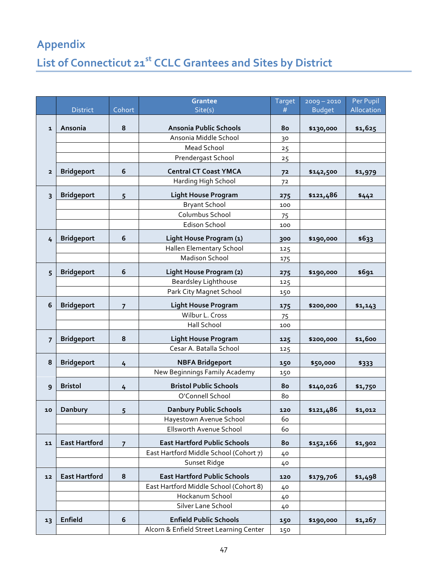# <span id="page-46-0"></span>**Appendix!** List of Connecticut 21<sup>st</sup> CCLC Grantees and Sites by District

|                |                      |                | <b>Grantee</b>                          | Target         | $2009 - 2010$ | Per Pupil  |
|----------------|----------------------|----------------|-----------------------------------------|----------------|---------------|------------|
|                | <b>District</b>      | Cohort         | Site(s)                                 | #              | <b>Budget</b> | Allocation |
| $\mathbf{1}$   | Ansonia              | 8              | Ansonia Public Schools                  | 80             | \$130,000     | \$1,625    |
|                |                      |                | Ansonia Middle School                   | 30             |               |            |
|                |                      |                | <b>Mead School</b>                      | 25             |               |            |
|                |                      |                | Prendergast School                      | 25             |               |            |
| $\overline{2}$ | <b>Bridgeport</b>    | 6              | <b>Central CT Coast YMCA</b>            | 7 <sup>2</sup> | \$142,500     | \$1,979    |
|                |                      |                | Harding High School                     | 72             |               |            |
| 3              | <b>Bridgeport</b>    | 5              | <b>Light House Program</b>              | 275            | \$121,486     | \$442      |
|                |                      |                | <b>Bryant School</b>                    | 100            |               |            |
|                |                      |                | Columbus School                         | 75             |               |            |
|                |                      |                | <b>Edison School</b>                    | 100            |               |            |
| 4              | <b>Bridgeport</b>    | 6              | Light House Program (1)                 | 300            | \$190,000     | \$633      |
|                |                      |                | Hallen Elementary School                | 125            |               |            |
|                |                      |                | <b>Madison School</b>                   | 175            |               |            |
| 5              | <b>Bridgeport</b>    | 6              | Light House Program (2)                 | 275            | \$190,000     | \$691      |
|                |                      |                | <b>Beardsley Lighthouse</b>             | 125            |               |            |
|                |                      |                | Park City Magnet School                 | 150            |               |            |
| 6              | <b>Bridgeport</b>    | $\overline{7}$ | <b>Light House Program</b>              | 175            | \$200,000     | \$1,143    |
|                |                      |                | Wilbur L. Cross                         | 75             |               |            |
|                |                      |                | Hall School                             | 100            |               |            |
| $\overline{7}$ | <b>Bridgeport</b>    | 8              | <b>Light House Program</b>              | 125            | \$200,000     | \$1,600    |
|                |                      |                | Cesar A. Batalla School                 | 125            |               |            |
| 8              | <b>Bridgeport</b>    | 4              | <b>NBFA Bridgeport</b>                  | 150            | \$50,000      | \$333      |
|                |                      |                | New Beginnings Family Academy           | 150            |               |            |
| 9              | <b>Bristol</b>       | 4              | <b>Bristol Public Schools</b>           | 80             | \$140,026     | \$1,750    |
|                |                      |                | O'Connell School                        | 80             |               |            |
| 10             | Danbury              | 5              | <b>Danbury Public Schools</b>           | 120            | \$121,486     | \$1,012    |
|                |                      |                | Hayestown Avenue School                 | 60             |               |            |
|                |                      |                | Ellsworth Avenue School                 | 60             |               |            |
| 11             | <b>East Hartford</b> | $\overline{7}$ | <b>East Hartford Public Schools</b>     | 80             | \$152,166     | \$1,902    |
|                |                      |                | East Hartford Middle School (Cohort 7)  | 40             |               |            |
|                |                      |                | Sunset Ridge                            | 40             |               |            |
| 12             | <b>East Hartford</b> | 8              | <b>East Hartford Public Schools</b>     | 120            | \$179,706     | \$1,498    |
|                |                      |                | East Hartford Middle School (Cohort 8)  | 40             |               |            |
|                |                      |                | Hockanum School                         | 40             |               |            |
|                |                      |                | Silver Lane School                      | 40             |               |            |
| 13             | Enfield              | 6              | <b>Enfield Public Schools</b>           | 150            | \$190,000     | \$1,267    |
|                |                      |                | Alcorn & Enfield Street Learning Center | 150            |               |            |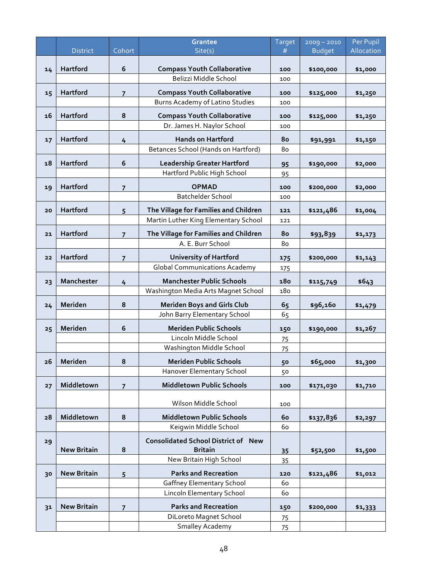|    |                    |                | <b>Grantee</b>                                                                | Target     | $2009 - 2010$ | Per Pupil  |
|----|--------------------|----------------|-------------------------------------------------------------------------------|------------|---------------|------------|
|    | <b>District</b>    | Cohort         | Site(s)                                                                       | #          | <b>Budget</b> | Allocation |
| 14 | Hartford           | 6              | <b>Compass Youth Collaborative</b>                                            | 100        | \$100,000     | \$1,000    |
|    |                    |                | Belizzi Middle School                                                         | 100        |               |            |
| 15 | Hartford           | $\overline{7}$ | <b>Compass Youth Collaborative</b>                                            | 100        | \$125,000     | \$1,250    |
|    |                    |                | Burns Academy of Latino Studies                                               | 100        |               |            |
| 16 | Hartford           | 8              | <b>Compass Youth Collaborative</b>                                            | 100        | \$125,000     | \$1,250    |
|    |                    |                | Dr. James H. Naylor School                                                    | 100        |               |            |
|    | Hartford           |                | <b>Hands on Hartford</b>                                                      | 80         |               |            |
| 17 |                    | 4              | Betances School (Hands on Hartford)                                           | 80         | \$91,991      | \$1,150    |
|    |                    | 6              |                                                                               |            |               |            |
| 18 | Hartford           |                | <b>Leadership Greater Hartford</b><br>Hartford Public High School             | 95<br>95   | \$190,000     | \$2,000    |
|    |                    |                |                                                                               |            |               |            |
| 19 | Hartford           | $\overline{7}$ | <b>OPMAD</b><br><b>Batchelder School</b>                                      | 100<br>100 | \$200,000     | \$2,000    |
|    |                    |                |                                                                               |            |               |            |
| 20 | <b>Hartford</b>    | 5              | The Village for Families and Children<br>Martin Luther King Elementary School | 121        | \$121,486     | \$1,004    |
|    |                    |                |                                                                               | 121        |               |            |
| 21 | Hartford           | $\overline{7}$ | The Village for Families and Children                                         | 80         | \$93,839      | \$1,173    |
|    |                    |                | A. E. Burr School                                                             | 80         |               |            |
| 22 | Hartford           | $\overline{7}$ | <b>University of Hartford</b>                                                 | 175        | \$200,000     | \$1,143    |
|    |                    |                | <b>Global Communications Academy</b>                                          | 175        |               |            |
| 23 | Manchester         | $\frac{1}{4}$  | <b>Manchester Public Schools</b>                                              | 180        | \$115,749     | \$643      |
|    |                    |                | Washington Media Arts Magnet School                                           | 180        |               |            |
| 24 | Meriden            | 8              | <b>Meriden Boys and Girls Club</b>                                            | 65         | \$96,160      | \$1,479    |
|    |                    |                | John Barry Elementary School                                                  | 65         |               |            |
| 25 | Meriden            | 6              | <b>Meriden Public Schools</b>                                                 | 150        | \$190,000     | \$1,267    |
|    |                    |                | Lincoln Middle School                                                         | 75         |               |            |
|    |                    |                | Washington Middle School                                                      | 75         |               |            |
| 26 | Meriden            | 8              | <b>Meriden Public Schools</b>                                                 | 50         | \$65,000      | \$1,300    |
|    |                    |                | Hanover Elementary School                                                     | 50         |               |            |
| 27 | Middletown         | $\overline{7}$ | <b>Middletown Public Schools</b>                                              | 100        | \$171,030     | \$1,710    |
|    |                    |                |                                                                               |            |               |            |
|    |                    |                | Wilson Middle School                                                          | 100        |               |            |
| 28 | Middletown         | 8              | <b>Middletown Public Schools</b>                                              | <b>60</b>  | \$137,836     | \$2,297    |
|    |                    |                | Keigwin Middle School                                                         | 60         |               |            |
| 29 |                    |                | <b>Consolidated School District of New</b>                                    |            |               |            |
|    | <b>New Britain</b> | 8              | <b>Britain</b>                                                                | 35         | \$52,500      | \$1,500    |
|    |                    |                | New Britain High School                                                       | 35         |               |            |
| 30 | <b>New Britain</b> | 5              | <b>Parks and Recreation</b>                                                   | 120        | \$121,486     | \$1,012    |
|    |                    |                | <b>Gaffney Elementary School</b><br>Lincoln Elementary School                 | 60<br>60   |               |            |
|    |                    |                |                                                                               |            |               |            |
| 31 | <b>New Britain</b> | $\overline{7}$ | <b>Parks and Recreation</b>                                                   | 150        | \$200,000     | \$1,333    |
|    |                    |                | DiLoreto Magnet School<br>Smalley Academy                                     | 75<br>75   |               |            |
|    |                    |                |                                                                               |            |               |            |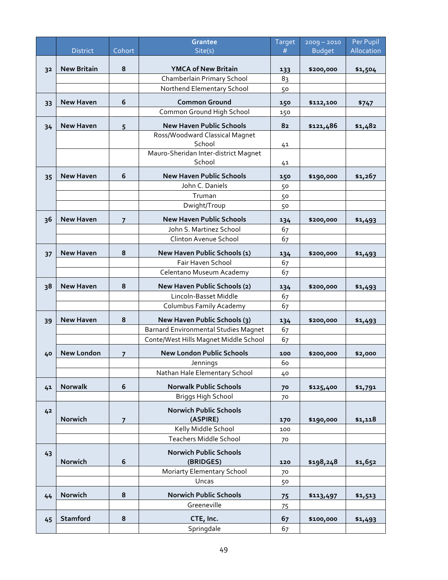|    |                    |                | Grantee                                            | Target   | $2009 - 2010$ | Per Pupil  |
|----|--------------------|----------------|----------------------------------------------------|----------|---------------|------------|
|    | <b>District</b>    | Cohort         | Site(s)                                            | #        | <b>Budget</b> | Allocation |
| 32 | <b>New Britain</b> | 8              | <b>YMCA of New Britain</b>                         | 133      | \$200,000     | \$1,504    |
|    |                    |                | Chamberlain Primary School                         | 83       |               |            |
|    |                    |                | Northend Elementary School                         | 50       |               |            |
|    |                    | 6              | <b>Common Ground</b>                               |          |               |            |
| 33 | <b>New Haven</b>   |                | Common Ground High School                          | 150      | \$112,100     | \$747      |
|    |                    |                |                                                    | 150      |               |            |
| 34 | <b>New Haven</b>   | 5              | <b>New Haven Public Schools</b>                    | 82       | \$121,486     | \$1,482    |
|    |                    |                | Ross/Woodward Classical Magnet<br>School           |          |               |            |
|    |                    |                | Mauro-Sheridan Inter-district Magnet               | 41       |               |            |
|    |                    |                | School                                             | 41       |               |            |
|    |                    |                |                                                    |          |               |            |
| 35 | <b>New Haven</b>   | 6              | <b>New Haven Public Schools</b><br>John C. Daniels | 150      | \$190,000     | \$1,267    |
|    |                    |                | Truman                                             | 50       |               |            |
|    |                    |                | Dwight/Troup                                       | 50<br>50 |               |            |
|    |                    |                |                                                    |          |               |            |
| 36 | <b>New Haven</b>   | $\overline{7}$ | <b>New Haven Public Schools</b>                    | 134      | \$200,000     | \$1,493    |
|    |                    |                | John S. Martinez School                            | 67       |               |            |
|    |                    |                | Clinton Avenue School                              | 67       |               |            |
| 37 | <b>New Haven</b>   | 8              | New Haven Public Schools (1)                       | 134      | \$200,000     | \$1,493    |
|    |                    |                | Fair Haven School                                  | 67       |               |            |
|    |                    |                | Celentano Museum Academy                           | 67       |               |            |
| 38 | <b>New Haven</b>   | 8              | New Haven Public Schools (2)                       | 134      | \$200,000     | \$1,493    |
|    |                    |                | Lincoln-Basset Middle                              | 67       |               |            |
|    |                    |                | Columbus Family Academy                            | 67       |               |            |
| 39 | <b>New Haven</b>   | 8              | New Haven Public Schools (3)                       | 134      | \$200,000     | \$1,493    |
|    |                    |                | <b>Barnard Environmental Studies Magnet</b>        | 67       |               |            |
|    |                    |                | Conte/West Hills Magnet Middle School              | 67       |               |            |
|    | <b>New London</b>  |                | <b>New London Public Schools</b>                   | 100      |               |            |
| 40 |                    | $\overline{7}$ | Jennings                                           | 60       | \$200,000     | \$2,000    |
|    |                    |                | Nathan Hale Elementary School                      | 40       |               |            |
|    |                    |                |                                                    |          |               |            |
| 41 | <b>Norwalk</b>     | 6              | <b>Norwalk Public Schools</b>                      | 70       | \$125,400     | \$1,791    |
|    |                    |                | <b>Briggs High School</b>                          | 70       |               |            |
| 42 |                    |                | <b>Norwich Public Schools</b>                      |          |               |            |
|    | Norwich            | $\overline{7}$ | (ASPIRE)                                           | 170      | \$190,000     | \$1,118    |
|    |                    |                | Kelly Middle School                                | 100      |               |            |
|    |                    |                | <b>Teachers Middle School</b>                      | 70       |               |            |
| 43 |                    |                | <b>Norwich Public Schools</b>                      |          |               |            |
|    | Norwich            | 6              | (BRIDGES)                                          | 120      | \$198,248     | \$1,652    |
|    |                    |                | Moriarty Elementary School                         | 70       |               |            |
|    |                    |                | Uncas                                              | 50       |               |            |
| 44 | Norwich            | 8              | <b>Norwich Public Schools</b>                      | 75       | \$113,497     | \$1,513    |
|    |                    |                | Greeneville                                        | 75       |               |            |
| 45 | Stamford           | 8              | CTE, Inc.                                          | 67       | \$100,000     |            |
|    |                    |                | Springdale                                         | 67       |               | \$1,493    |
|    |                    |                |                                                    |          |               |            |